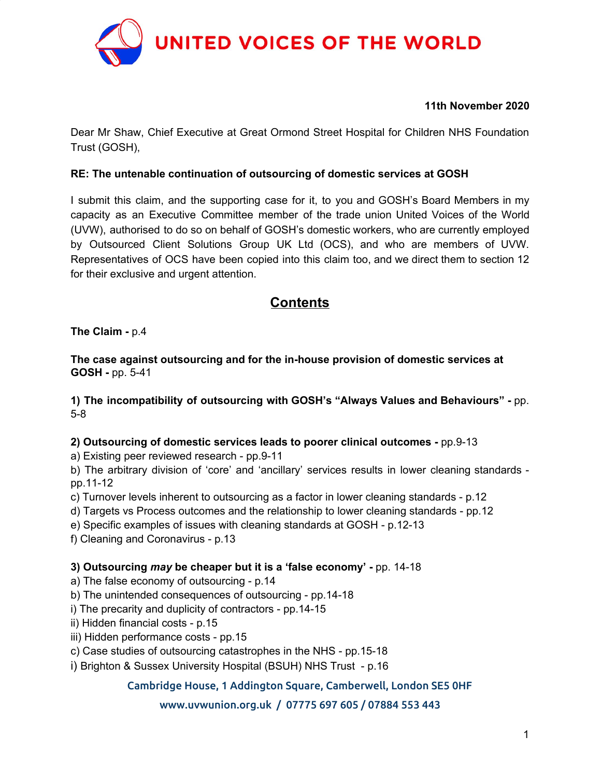

#### **11th November 2020**

Dear Mr Shaw, Chief Executive at Great Ormond Street Hospital for Children NHS Foundation Trust (GOSH),

#### **RE: The untenable continuation of outsourcing of domestic services at GOSH**

I submit this claim, and the supporting case for it, to you and GOSH's Board Members in my capacity as an Executive Committee member of the trade union United Voices of the World (UVW), authorised to do so on behalf of GOSH's domestic workers, who are currently employed by Outsourced Client Solutions Group UK Ltd (OCS), and who are members of UVW. Representatives of OCS have been copied into this claim too, and we direct them to section 12 for their exclusive and urgent attention.

## **Contents**

**The Claim -** p.4

**The case against outsourcing and for the in-house provision of domestic services at GOSH -** pp. 5-41

**1) The incompatibility of outsourcing with GOSH's "Always Values and Behaviours" -** pp. 5-8

#### **2) Outsourcing of domestic services leads to poorer clinical outcomes -** pp.9-13

a) Existing peer reviewed research - pp.9-11

b) The arbitrary division of 'core' and 'ancillary' services results in lower cleaning standards pp.11-12

c) Turnover levels inherent to outsourcing as a factor in lower cleaning standards - p.12

d) Targets vs Process outcomes and the relationship to lower cleaning standards - pp.12

e) Specific examples of issues with cleaning standards at GOSH - p.12-13

f) Cleaning and Coronavirus - p.13

## **3) Outsourcing** *may* **be cheaper but it is a 'false economy' -** pp. 14-18

a) The false economy of outsourcing - p.14

b) The unintended consequences of outsourcing - pp.14-18

i) The precarity and duplicity of contractors - pp.14-15

ii) Hidden financial costs - p.15

iii) Hidden performance costs - pp.15

c) Case studies of outsourcing catastrophes in the NHS - pp.15-18

i) Brighton & Sussex University Hospital (BSUH) NHS Trust - p.16

Cambridge House, 1 Addington Square, Camberwell, London SE5 0HF

## www.uvwunion.org.uk / 07775 697 605 / 07884 553 443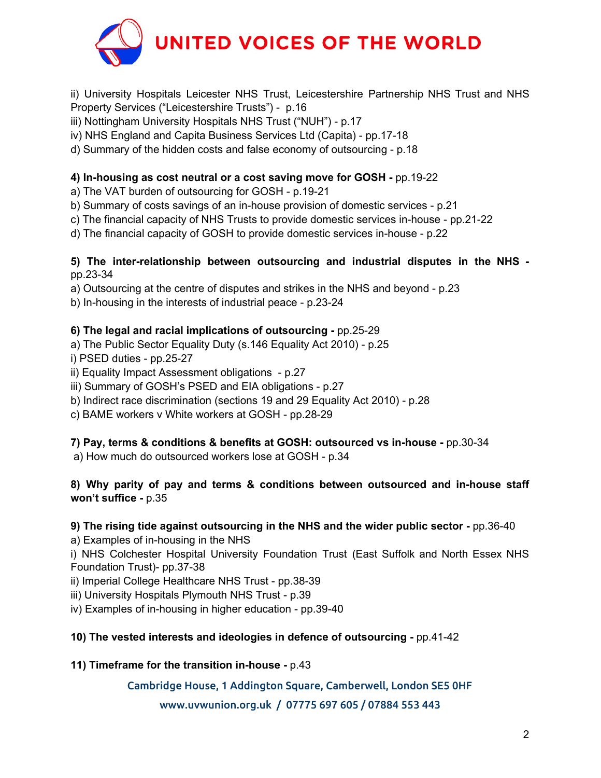

ii) University Hospitals Leicester NHS Trust, Leicestershire Partnership NHS Trust and NHS Property Services ("Leicestershire Trusts") - p.16

- iii) Nottingham University Hospitals NHS Trust ("NUH") p.17
- iv) NHS England and Capita Business Services Ltd (Capita) pp.17-18
- d) Summary of the hidden costs and false economy of outsourcing p.18

## **4) In-housing as cost neutral or a cost saving move for GOSH -** pp.19-22

- a) The VAT burden of outsourcing for GOSH p.19-21
- b) Summary of costs savings of an in-house provision of domestic services p.21
- c) The financial capacity of NHS Trusts to provide domestic services in-house pp.21-22
- d) The financial capacity of GOSH to provide domestic services in-house p.22

## **5) The inter-relationship between outsourcing and industrial disputes in the NHS**  pp.23-34

a) Outsourcing at the centre of disputes and strikes in the NHS and beyond - p.23

b) In-housing in the interests of industrial peace - p.23-24

## **6) The legal and racial implications of outsourcing -** pp.25-29

- a) The Public Sector Equality Duty (s.146 Equality Act 2010) p.25
- i) PSED duties pp.25-27
- ii) Equality Impact Assessment obligations p.27
- iii) Summary of GOSH's PSED and EIA obligations p.27
- b) Indirect race discrimination (sections 19 and 29 Equality Act 2010) p.28
- c) BAME workers v White workers at GOSH pp.28-29

## **7) Pay, terms & conditions & benefits at GOSH: outsourced vs in-house -** pp.30-34

a) How much do outsourced workers lose at GOSH - p.34

## **8) Why parity of pay and terms & conditions between outsourced and in-house staff won't suffice -** p.35

## **9) The rising tide against outsourcing in the NHS and the wider public sector -** pp.36-40

a) Examples of in-housing in the NHS

i) NHS Colchester Hospital University Foundation Trust (East Suffolk and North Essex NHS Foundation Trust)- pp.37-38

ii) Imperial College Healthcare NHS Trust - pp.38-39

iii) University Hospitals Plymouth NHS Trust - p.39

iv) Examples of in-housing in higher education - pp.39-40

## **10) The vested interests and ideologies in defence of outsourcing -** pp.41-42

## **11) Timeframe for the transition in-house -** p.43

## Cambridge House, 1 Addington Square, Camberwell, London SE5 0HF

## www.uvwunion.org.uk / 07775 697 605 / 07884 553 443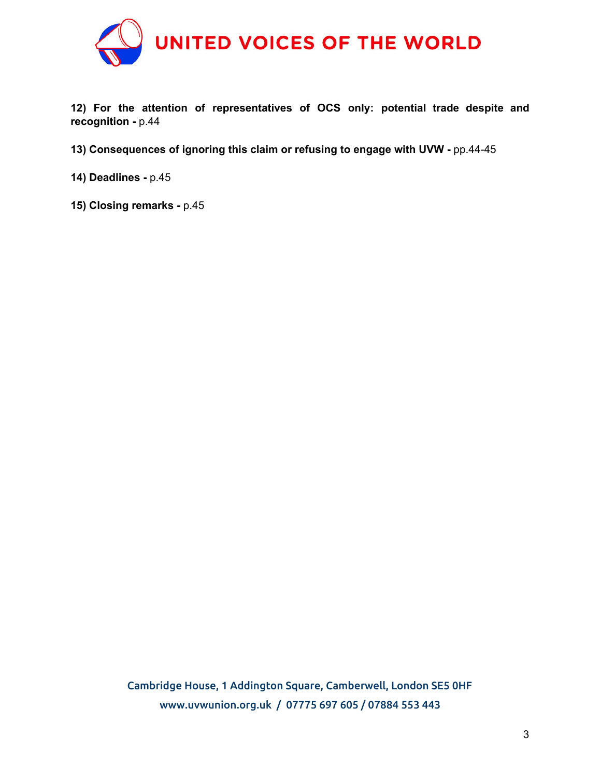

**12) For the attention of representatives of OCS only: potential trade despite and recognition -** p.44

**13) Consequences of ignoring this claim or refusing to engage with UVW -** pp.44-45

**14) Deadlines -** p.45

**15) Closing remarks -** p.45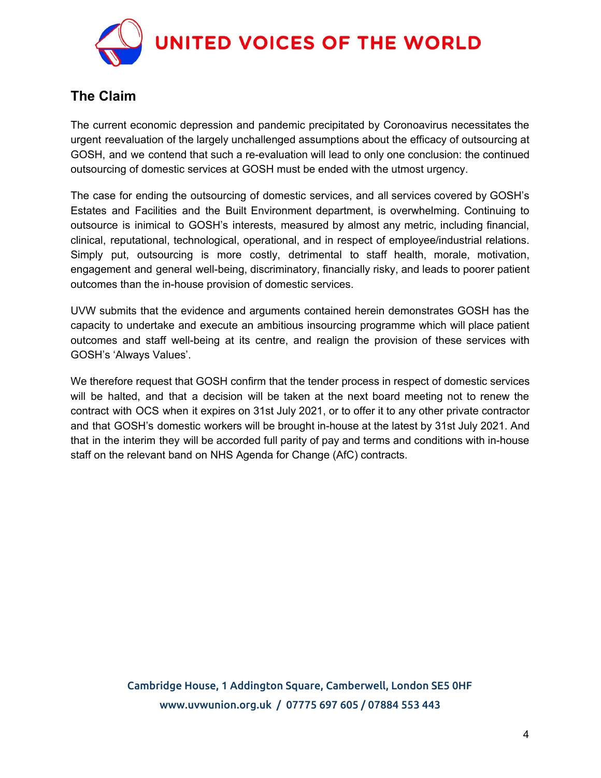

# **The Claim**

The current economic depression and pandemic precipitated by Coronoavirus necessitates the urgent reevaluation of the largely unchallenged assumptions about the efficacy of outsourcing at GOSH, and we contend that such a re-evaluation will lead to only one conclusion: the continued outsourcing of domestic services at GOSH must be ended with the utmost urgency.

The case for ending the outsourcing of domestic services, and all services covered by GOSH's Estates and Facilities and the Built Environment department, is overwhelming. Continuing to outsource is inimical to GOSH's interests, measured by almost any metric, including financial, clinical, reputational, technological, operational, and in respect of employee/industrial relations. Simply put, outsourcing is more costly, detrimental to staff health, morale, motivation, engagement and general well-being, discriminatory, financially risky, and leads to poorer patient outcomes than the in-house provision of domestic services.

UVW submits that the evidence and arguments contained herein demonstrates GOSH has the capacity to undertake and execute an ambitious insourcing programme which will place patient outcomes and staff well-being at its centre, and realign the provision of these services with GOSH's 'Always Values'.

We therefore request that GOSH confirm that the tender process in respect of domestic services will be halted, and that a decision will be taken at the next board meeting not to renew the contract with OCS when it expires on 31st July 2021, or to offer it to any other private contractor and that GOSH's domestic workers will be brought in-house at the latest by 31st July 2021. And that in the interim they will be accorded full parity of pay and terms and conditions with in-house staff on the relevant band on NHS Agenda for Change (AfC) contracts.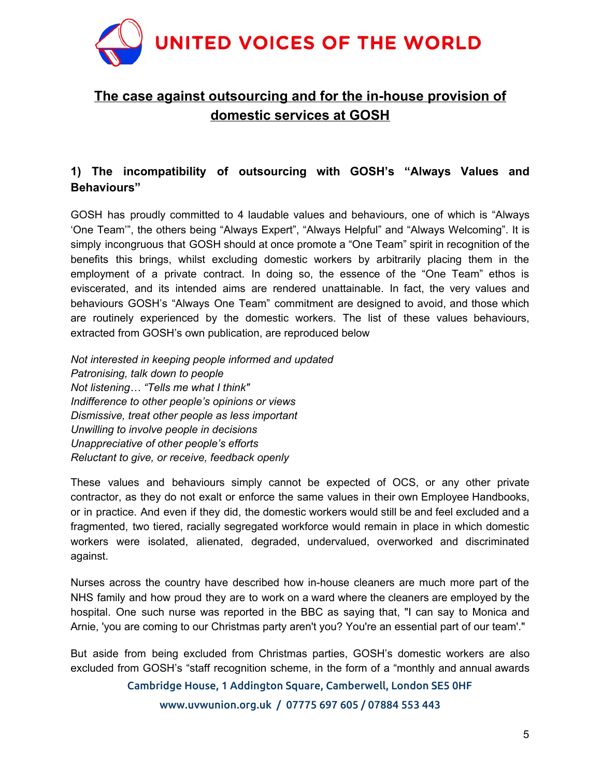

# **The case against outsourcing and for the in-house provision of domestic services at GOSH**

## **1) The incompatibility of outsourcing with GOSH's "Always Values and Behaviours"**

GOSH has proudly committed to 4 laudable values and behaviours, one of which is "Always 'One Team'", the others being "Always Expert", "Always Helpful" and "Always Welcoming". It is simply incongruous that GOSH should at once promote a "One Team" spirit in recognition of the benefits this brings, whilst excluding domestic workers by arbitrarily placing them in the employment of a private contract. In doing so, the essence of the "One Team" ethos is eviscerated, and its intended aims are rendered unattainable. In fact, the very values and behaviours GOSH's "Always One Team" commitment are designed to avoid, and those which are routinely experienced by the domestic workers. The list of these values behaviours, extracted from GOSH's own publication, are reproduced below

*Not interested in keeping people informed and updated Patronising, talk down to people Not listening… "Tells me what I think" Indifference to other people's opinions or views Dismissive, treat other people as less important Unwilling to involve people in decisions Unappreciative of other people's efforts Reluctant to give, or receive, feedback openly*

These values and behaviours simply cannot be expected of OCS, or any other private contractor, as they do not exalt or enforce the same values in their own Employee Handbooks, or in practice. And even if they did, the domestic workers would still be and feel excluded and a fragmented, two tiered, racially segregated workforce would remain in place in which domestic workers were isolated, alienated, degraded, undervalued, overworked and discriminated against.

Nurses across the country have described how in-house cleaners are much more part of the NHS family and how proud they are to work on a ward where the cleaners are employed by the hospital. One such nurse was reported in the BBC as saying that, "I can say to Monica and Arnie, 'you are coming to our Christmas party aren't you? You're an essential part of our team'."

But aside from being excluded from Christmas parties, GOSH's domestic workers are also excluded from GOSH's "staff recognition scheme, in the form of a "monthly and annual awards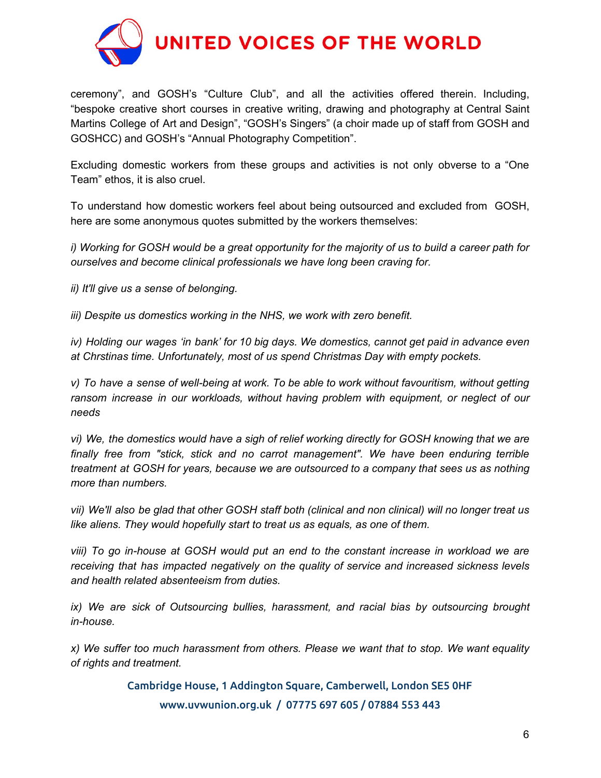

ceremony", and GOSH's "Culture Club", and all the activities offered therein. Including, "bespoke creative short courses in creative writing, drawing and photography at Central Saint Martins College of Art and Design", "GOSH's Singers" (a choir made up of staff from GOSH and GOSHCC) and GOSH's "Annual Photography Competition".

Excluding domestic workers from these groups and activities is not only obverse to a "One Team" ethos, it is also cruel.

To understand how domestic workers feel about being outsourced and excluded from GOSH, here are some anonymous quotes submitted by the workers themselves:

i) Working for GOSH would be a great opportunity for the majority of us to build a career path for *ourselves and become clinical professionals we have long been craving for.*

*ii) It'll give us a sense of belonging.*

*iii) Despite us domestics working in the NHS, we work with zero benefit.*

*iv) Holding our wages 'in bank' for 10 big days. We domestics, cannot get paid in advance even at Chrstinas time. Unfortunately, most of us spend Christmas Day with empty pockets.*

*v) To have a sense of well-being at work. To be able to work without favouritism, without getting ransom increase in our workloads, without having problem with equipment, or neglect of our needs*

*vi) We, the domestics would have a sigh of relief working directly for GOSH knowing that we are finally free from "stick, stick and no carrot management". We have been enduring terrible treatment at GOSH for years, because we are outsourced to a company that sees us as nothing more than numbers.*

vii) We'll also be glad that other GOSH staff both (clinical and non clinical) will no longer treat us *like aliens. They would hopefully start to treat us as equals, as one of them.*

*viii) To go in-house at GOSH would put an end to the constant increase in workload we are receiving that has impacted negatively on the quality of service and increased sickness levels and health related absenteeism from duties.*

*ix) We are sick of Outsourcing bullies, harassment, and racial bias by outsourcing brought in-house.*

*x) We suffer too much harassment from others. Please we want that to stop. We want equality of rights and treatment.*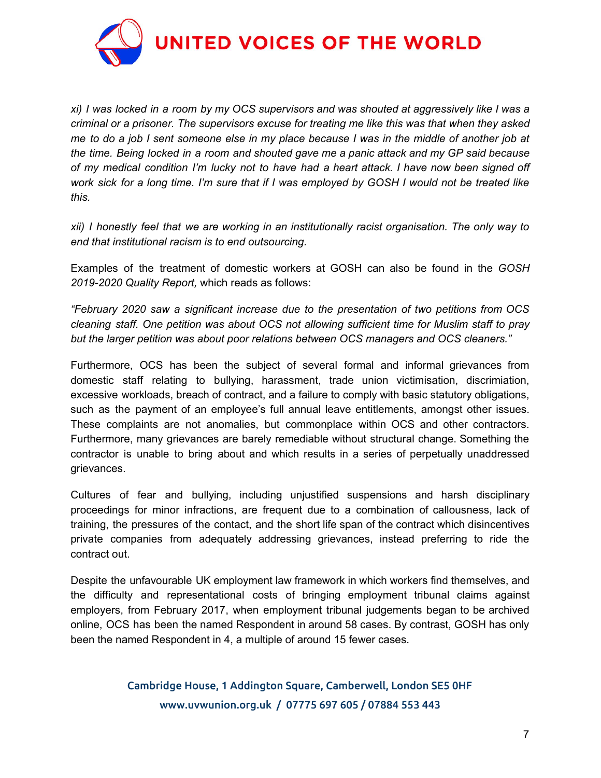

xi) I was locked in a room by my OCS supervisors and was shouted at aggressively like I was a *criminal or a prisoner. The supervisors excuse for treating me like this was that when they asked* me to do a job I sent someone else in my place because I was in the middle of another job at *the time. Being locked in a room and shouted gave me a panic attack and my GP said because* of my medical condition I'm lucky not to have had a heart attack. I have now been signed off work sick for a long time. I'm sure that if I was employed by GOSH I would not be treated like *this.*

*xii) I honestly feel that we are working in an institutionally racist organisation. The only way to end that institutional racism is to end outsourcing.*

Examples of the treatment of domestic workers at GOSH can also be found in the *GOSH 2019-2020 Quality Report,* which reads as follows:

*"February 2020 saw a significant increase due to the presentation of two petitions from OCS cleaning staff. One petition was about OCS not allowing sufficient time for Muslim staff to pray but the larger petition was about poor relations between OCS managers and OCS cleaners."*

Furthermore, OCS has been the subject of several formal and informal grievances from domestic staff relating to bullying, harassment, trade union victimisation, discrimiation, excessive workloads, breach of contract, and a failure to comply with basic statutory obligations, such as the payment of an employee's full annual leave entitlements, amongst other issues. These complaints are not anomalies, but commonplace within OCS and other contractors. Furthermore, many grievances are barely remediable without structural change. Something the contractor is unable to bring about and which results in a series of perpetually unaddressed grievances.

Cultures of fear and bullying, including unjustified suspensions and harsh disciplinary proceedings for minor infractions, are frequent due to a combination of callousness, lack of training, the pressures of the contact, and the short life span of the contract which disincentives private companies from adequately addressing grievances, instead preferring to ride the contract out.

Despite the unfavourable UK employment law framework in which workers find themselves, and the difficulty and representational costs of bringing employment tribunal claims against employers, from February 2017, when employment tribunal judgements began to be archived online, OCS has been the named Respondent in around 58 cases. By contrast, GOSH has only been the named Respondent in 4, a multiple of around 15 fewer cases.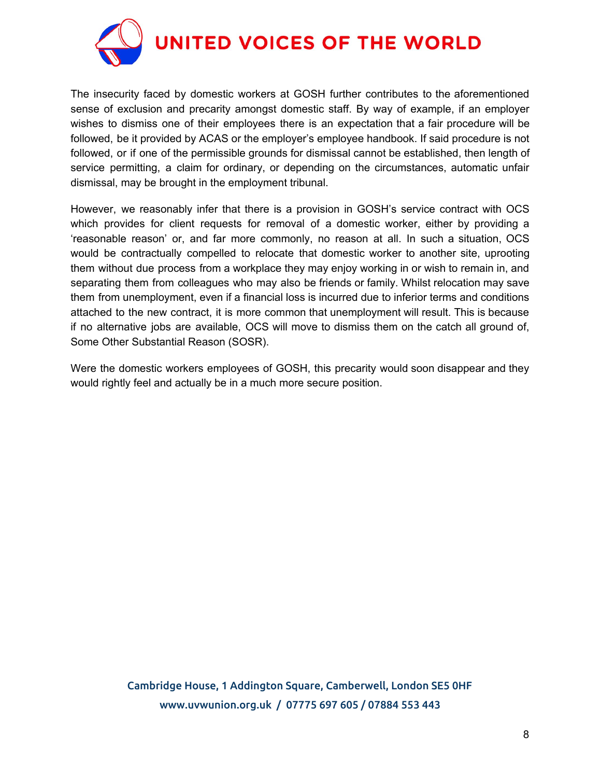

The insecurity faced by domestic workers at GOSH further contributes to the aforementioned sense of exclusion and precarity amongst domestic staff. By way of example, if an employer wishes to dismiss one of their employees there is an expectation that a fair procedure will be followed, be it provided by ACAS or the employer's employee handbook. If said procedure is not followed, or if one of the permissible grounds for dismissal cannot be established, then length of service permitting, a claim for ordinary, or depending on the circumstances, automatic unfair dismissal, may be brought in the employment tribunal.

However, we reasonably infer that there is a provision in GOSH's service contract with OCS which provides for client requests for removal of a domestic worker, either by providing a 'reasonable reason' or, and far more commonly, no reason at all. In such a situation, OCS would be contractually compelled to relocate that domestic worker to another site, uprooting them without due process from a workplace they may enjoy working in or wish to remain in, and separating them from colleagues who may also be friends or family. Whilst relocation may save them from unemployment, even if a financial loss is incurred due to inferior terms and conditions attached to the new contract, it is more common that unemployment will result. This is because if no alternative jobs are available, OCS will move to dismiss them on the catch all ground of, Some Other Substantial Reason (SOSR).

Were the domestic workers employees of GOSH, this precarity would soon disappear and they would rightly feel and actually be in a much more secure position.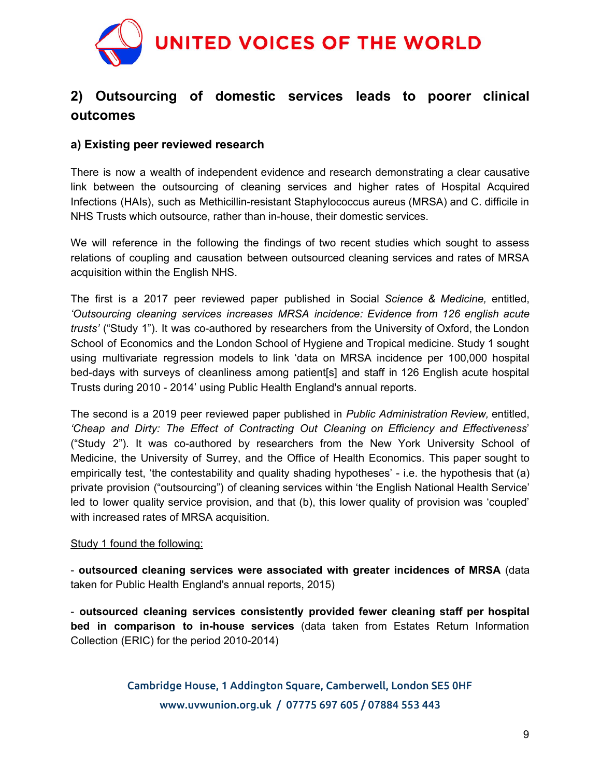

# **2) Outsourcing of domestic services leads to poorer clinical outcomes**

## **a) Existing peer reviewed research**

There is now a wealth of independent evidence and research demonstrating a clear causative link between the outsourcing of cleaning services and higher rates of Hospital Acquired Infections (HAIs), such as Methicillin-resistant Staphylococcus aureus (MRSA) and C. difficile in NHS Trusts which outsource, rather than in-house, their domestic services.

We will reference in the following the findings of two recent studies which sought to assess relations of coupling and causation between outsourced cleaning services and rates of MRSA acquisition within the English NHS.

The first is a 2017 peer reviewed paper published in Social *Science & Medicine,* entitled, *'Outsourcing cleaning services increases MRSA incidence: Evidence from 126 english acute trusts'* ("Study 1"). It was co-authored by researchers from the University of Oxford, the London School of Economics and the London School of Hygiene and Tropical medicine. Study 1 sought using multivariate regression models to link 'data on MRSA incidence per 100,000 hospital bed-days with surveys of cleanliness among patient[s] and staff in 126 English acute hospital Trusts during 2010 - 2014' using Public Health England's annual reports.

The second is a 2019 peer reviewed paper published in *Public Administration Review,* entitled, *'Cheap and Dirty: The Effect of Contracting Out Cleaning on Efficiency and Effectiveness*' ("Study 2"). It was co-authored by researchers from the New York University School of Medicine, the University of Surrey, and the Office of Health Economics. This paper sought to empirically test, 'the contestability and quality shading hypotheses' - i.e. the hypothesis that (a) private provision ("outsourcing") of cleaning services within 'the English National Health Service' led to lower quality service provision, and that (b), this lower quality of provision was 'coupled' with increased rates of MRSA acquisition.

#### Study 1 found the following:

- **outsourced cleaning services were associated with greater incidences of MRSA** (data taken for Public Health England's annual reports, 2015)

- **outsourced cleaning services consistently provided fewer cleaning staff per hospital bed in comparison to in-house services** (data taken from Estates Return Information Collection (ERIC) for the period 2010-2014)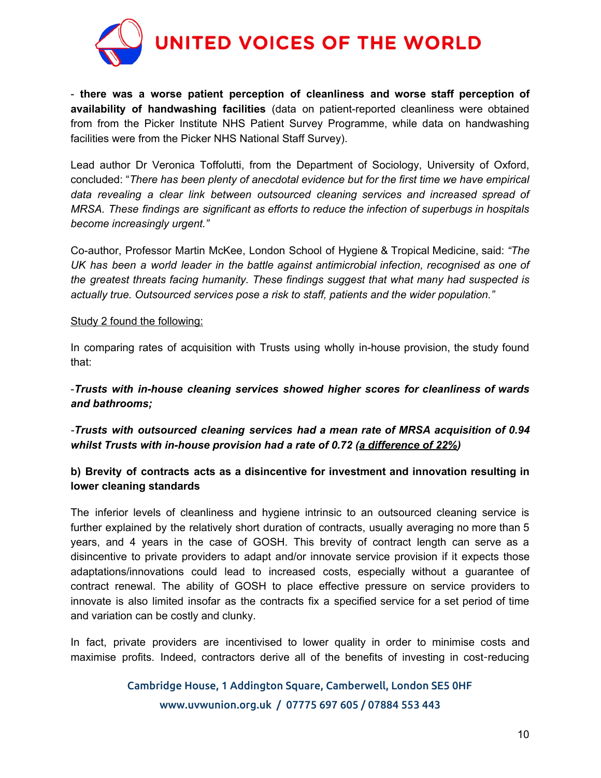

- **there was a worse patient perception of cleanliness and worse staff perception of availability of handwashing facilities** (data on patient-reported cleanliness were obtained from from the Picker Institute NHS Patient Survey Programme, while data on handwashing facilities were from the Picker NHS National Staff Survey).

Lead author Dr Veronica Toffolutti, from the Department of Sociology, University of Oxford, concluded: "*There has been plenty of anecdotal evidence but for the first time we have empirical data revealing a clear link between outsourced cleaning services and increased spread of MRSA. These findings are significant as efforts to reduce the infection of superbugs in hospitals become increasingly urgent."*

Co-author, Professor Martin McKee, London School of Hygiene & Tropical Medicine, said: *"The UK has been a world leader in the battle against antimicrobial infection, recognised as one of the greatest threats facing humanity. These findings suggest that what many had suspected is actually true. Outsourced services pose a risk to staff, patients and the wider population."*

#### Study 2 found the following:

In comparing rates of acquisition with Trusts using wholly in-house provision, the study found that:

-*Trusts with in-house cleaning services showed higher scores for cleanliness of wards and bathrooms;*

*-Trusts with outsourced cleaning services had a mean rate of MRSA acquisition of 0.94 whilst Trusts with in-house provision had a rate of 0.72 (a difference of 22%)*

#### **b) Brevity of contracts acts as a disincentive for investment and innovation resulting in lower cleaning standards**

The inferior levels of cleanliness and hygiene intrinsic to an outsourced cleaning service is further explained by the relatively short duration of contracts, usually averaging no more than 5 years, and 4 years in the case of GOSH. This brevity of contract length can serve as a disincentive to private providers to adapt and/or innovate service provision if it expects those adaptations/innovations could lead to increased costs, especially without a guarantee of contract renewal. The ability of GOSH to place effective pressure on service providers to innovate is also limited insofar as the contracts fix a specified service for a set period of time and variation can be costly and clunky.

In fact, private providers are incentivised to lower quality in order to minimise costs and maximise profits. Indeed, contractors derive all of the benefits of investing in cost-reducing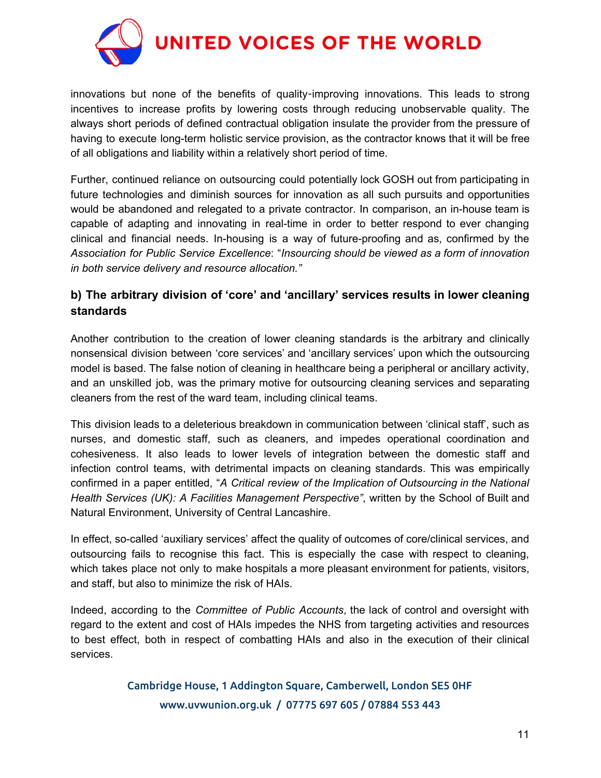

innovations but none of the benefits of quality-improving innovations. This leads to strong incentives to increase profits by lowering costs through reducing unobservable quality. The always short periods of defined contractual obligation insulate the provider from the pressure of having to execute long-term holistic service provision, as the contractor knows that it will be free of all obligations and liability within a relatively short period of time.

Further, continued reliance on outsourcing could potentially lock GOSH out from participating in future technologies and diminish sources for innovation as all such pursuits and opportunities would be abandoned and relegated to a private contractor. In comparison, an in-house team is capable of adapting and innovating in real-time in order to better respond to ever changing clinical and financial needs. In-housing is a way of future-proofing and as, confirmed by the *Association for Public Service Excellence*: "*Insourcing should be viewed as a form of innovation in both service delivery and resource allocation."*

## **b) The arbitrary division of 'core' and 'ancillary' services results in lower cleaning standards**

Another contribution to the creation of lower cleaning standards is the arbitrary and clinically nonsensical division between 'core services' and 'ancillary services' upon which the outsourcing model is based. The false notion of cleaning in healthcare being a peripheral or ancillary activity, and an unskilled job, was the primary motive for outsourcing cleaning services and separating cleaners from the rest of the ward team, including clinical teams.

This division leads to a deleterious breakdown in communication between 'clinical staff', such as nurses, and domestic staff, such as cleaners, and impedes operational coordination and cohesiveness. It also leads to lower levels of integration between the domestic staff and infection control teams, with detrimental impacts on cleaning standards. This was empirically confirmed in a paper entitled, "*A Critical review of the Implication of Outsourcing in the National Health Services (UK): A Facilities Management Perspective"*, written by the School of Built and Natural Environment, University of Central Lancashire.

In effect, so-called 'auxiliary services' affect the quality of outcomes of core/clinical services, and outsourcing fails to recognise this fact. This is especially the case with respect to cleaning, which takes place not only to make hospitals a more pleasant environment for patients, visitors, and staff, but also to minimize the risk of HAIs.

Indeed, according to the *Committee of Public Accounts*, the lack of control and oversight with regard to the extent and cost of HAIs impedes the NHS from targeting activities and resources to best effect, both in respect of combatting HAIs and also in the execution of their clinical services.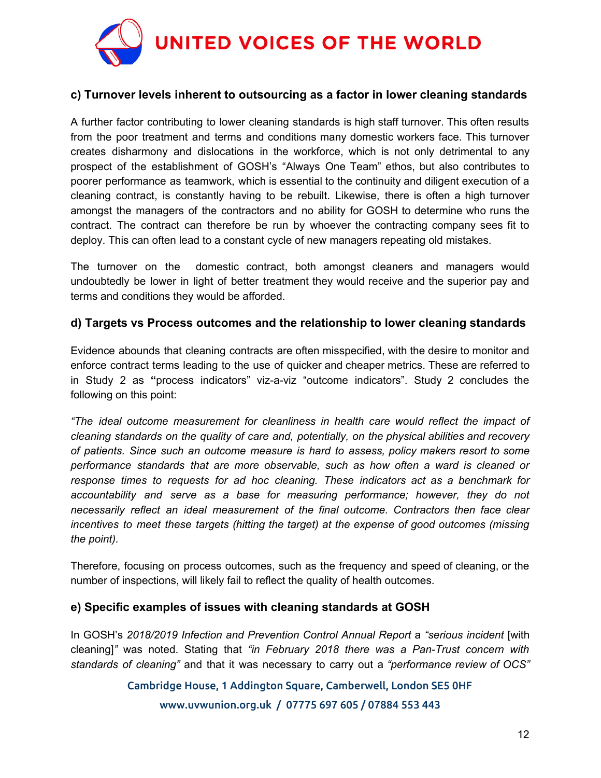

#### **c) Turnover levels inherent to outsourcing as a factor in lower cleaning standards**

A further factor contributing to lower cleaning standards is high staff turnover. This often results from the poor treatment and terms and conditions many domestic workers face. This turnover creates disharmony and dislocations in the workforce, which is not only detrimental to any prospect of the establishment of GOSH's "Always One Team" ethos, but also contributes to poorer performance as teamwork, which is essential to the continuity and diligent execution of a cleaning contract, is constantly having to be rebuilt. Likewise, there is often a high turnover amongst the managers of the contractors and no ability for GOSH to determine who runs the contract. The contract can therefore be run by whoever the contracting company sees fit to deploy. This can often lead to a constant cycle of new managers repeating old mistakes.

The turnover on the domestic contract, both amongst cleaners and managers would undoubtedly be lower in light of better treatment they would receive and the superior pay and terms and conditions they would be afforded.

#### **d) Targets vs Process outcomes and the relationship to lower cleaning standards**

Evidence abounds that cleaning contracts are often misspecified, with the desire to monitor and enforce contract terms leading to the use of quicker and cheaper metrics. These are referred to in Study 2 as **"**process indicators" viz-a-viz "outcome indicators". Study 2 concludes the following on this point:

*"The ideal outcome measurement for cleanliness in health care would reflect the impact of cleaning standards on the quality of care and, potentially, on the physical abilities and recovery of patients. Since such an outcome measure is hard to assess, policy makers resort to some performance standards that are more observable, such as how often a ward is cleaned or response times to requests for ad hoc cleaning. These indicators act as a benchmark for accountability and serve as a base for measuring performance; however, they do not necessarily reflect an ideal measurement of the final outcome. Contractors then face clear incentives to meet these targets (hitting the target) at the expense of good outcomes (missing the point).*

Therefore, focusing on process outcomes, such as the frequency and speed of cleaning, or the number of inspections, will likely fail to reflect the quality of health outcomes.

#### **e) Specific examples of issues with cleaning standards at GOSH**

In GOSH's *2018/2019 Infection and Prevention Control Annual Report* a *"serious incident* [with cleaning]*"* was noted. Stating that *"in February 2018 there was a Pan-Trust concern with standards of cleaning"* and that it was necessary to carry out a *"performance review of OCS"*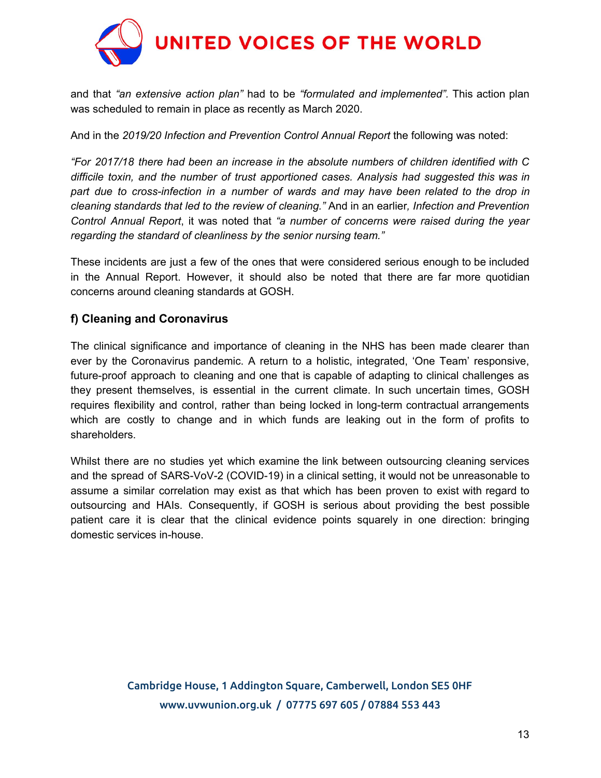

and that *"an extensive action plan"* had to be *"formulated and implemented".* This action plan was scheduled to remain in place as recently as March 2020.

And in the *2019/20 Infection and Prevention Control Annual Report* the following was noted:

*"For 2017/18 there had been an increase in the absolute numbers of children identified with C difficile toxin, and the number of trust apportioned cases. Analysis had suggested this was in part due to cross-infection in a number of wards and may have been related to the drop in cleaning standards that led to the review of cleaning."* And in an earlier*, Infection and Prevention Control Annual Report*, it was noted that *"a number of concerns were raised during the year regarding the standard of cleanliness by the senior nursing team."*

These incidents are just a few of the ones that were considered serious enough to be included in the Annual Report. However, it should also be noted that there are far more quotidian concerns around cleaning standards at GOSH.

## **f) Cleaning and Coronavirus**

The clinical significance and importance of cleaning in the NHS has been made clearer than ever by the Coronavirus pandemic. A return to a holistic, integrated, 'One Team' responsive, future-proof approach to cleaning and one that is capable of adapting to clinical challenges as they present themselves, is essential in the current climate. In such uncertain times, GOSH requires flexibility and control, rather than being locked in long-term contractual arrangements which are costly to change and in which funds are leaking out in the form of profits to shareholders.

Whilst there are no studies yet which examine the link between outsourcing cleaning services and the spread of SARS-VoV-2 (COVID-19) in a clinical setting, it would not be unreasonable to assume a similar correlation may exist as that which has been proven to exist with regard to outsourcing and HAIs. Consequently, if GOSH is serious about providing the best possible patient care it is clear that the clinical evidence points squarely in one direction: bringing domestic services in-house.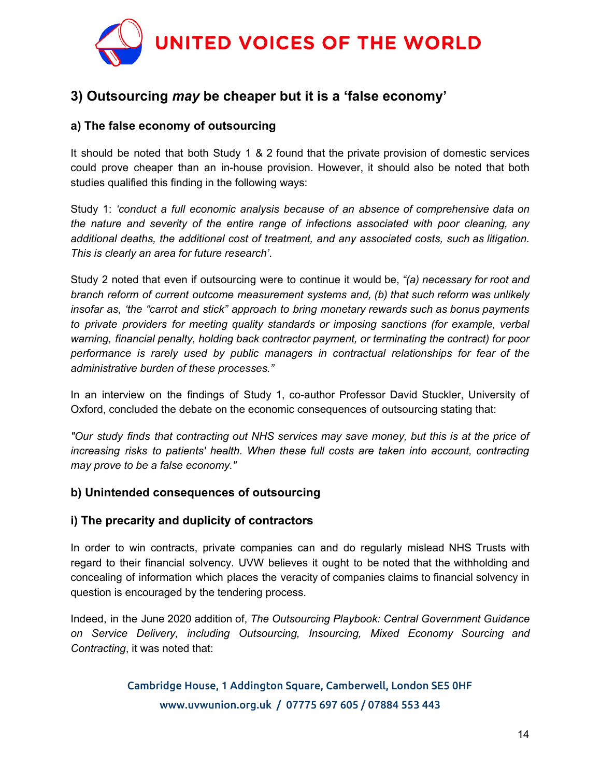

# **3) Outsourcing** *may* **be cheaper but it is a 'false economy'**

## **a) The false economy of outsourcing**

It should be noted that both Study 1 & 2 found that the private provision of domestic services could prove cheaper than an in-house provision. However, it should also be noted that both studies qualified this finding in the following ways:

Study 1: *'conduct a full economic analysis because of an absence of comprehensive data on the nature and severity of the entire range of infections associated with poor cleaning, any additional deaths, the additional cost of treatment, and any associated costs, such as litigation. This is clearly an area for future research'*.

Study 2 noted that even if outsourcing were to continue it would be, *"(a) necessary for root and branch reform of current outcome measurement systems and, (b) that such reform was unlikely insofar as, 'the "carrot and stick" approach to bring monetary rewards such as bonus payments to private providers for meeting quality standards or imposing sanctions (for example, verbal warning, financial penalty, holding back contractor payment, or terminating the contract) for poor performance is rarely used by public managers in contractual relationships for fear of the administrative burden of these processes."*

In an interview on the findings of Study 1, co-author Professor David Stuckler, University of Oxford, concluded the debate on the economic consequences of outsourcing stating that:

*"Our study finds that contracting out NHS services may save money, but this is at the price of increasing risks to patients' health. When these full costs are taken into account, contracting may prove to be a false economy."*

## **b) Unintended consequences of outsourcing**

#### **i) The precarity and duplicity of contractors**

In order to win contracts, private companies can and do regularly mislead NHS Trusts with regard to their financial solvency. UVW believes it ought to be noted that the withholding and concealing of information which places the veracity of companies claims to financial solvency in question is encouraged by the tendering process.

Indeed, in the June 2020 addition of, *The Outsourcing Playbook: Central Government Guidance on Service Delivery, including Outsourcing, Insourcing, Mixed Economy Sourcing and Contracting*, it was noted that: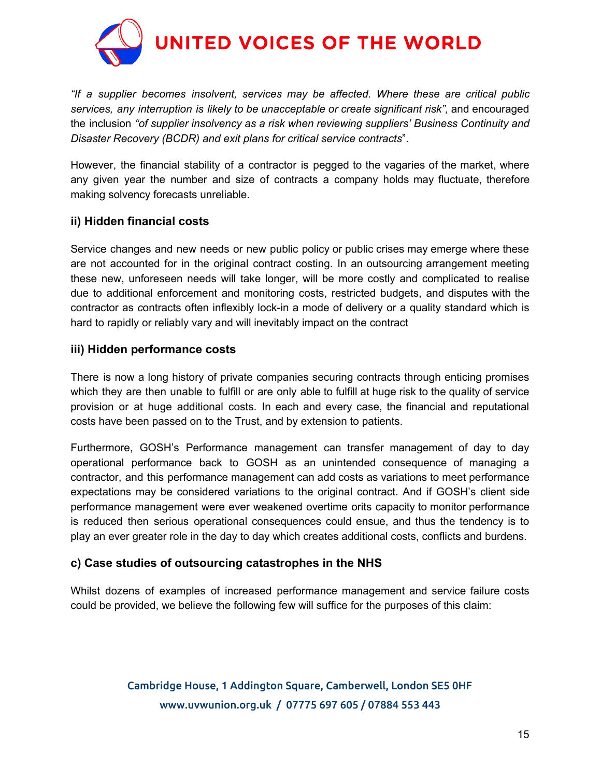

*"If a supplier becomes insolvent, services may be affected. Where these are critical public services, any interruption is likely to be unacceptable or create significant risk",* and encouraged the inclusion *"of supplier insolvency as a risk when reviewing suppliers' Business Continuity and Disaster Recovery (BCDR) and exit plans for critical service contracts*".

However, the financial stability of a contractor is pegged to the vagaries of the market, where any given year the number and size of contracts a company holds may fluctuate, therefore making solvency forecasts unreliable.

## **ii) Hidden financial costs**

Service changes and new needs or new public policy or public crises may emerge where these are not accounted for in the original contract costing. In an outsourcing arrangement meeting these new, unforeseen needs will take longer, will be more costly and complicated to realise due to additional enforcement and monitoring costs, restricted budgets, and disputes with the contractor as *c*ontracts often inflexibly lock-in a mode of delivery or a quality standard which is hard to rapidly or reliably vary and will inevitably impact on the contract

#### **iii) Hidden performance costs**

There is now a long history of private companies securing contracts through enticing promises which they are then unable to fulfill or are only able to fulfill at huge risk to the quality of service provision or at huge additional costs. In each and every case, the financial and reputational costs have been passed on to the Trust, and by extension to patients.

Furthermore, GOSH's Performance management can transfer management of day to day operational performance back to GOSH as an unintended consequence of managing a contractor, and this performance management can add costs as variations to meet performance expectations may be considered variations to the original contract. And if GOSH's client side performance management were ever weakened overtime orits capacity to monitor performance is reduced then serious operational consequences could ensue, and thus the tendency is to play an ever greater role in the day to day which creates additional costs, conflicts and burdens.

## **c) Case studies of outsourcing catastrophes in the NHS**

Whilst dozens of examples of increased performance management and service failure costs could be provided, we believe the following few will suffice for the purposes of this claim: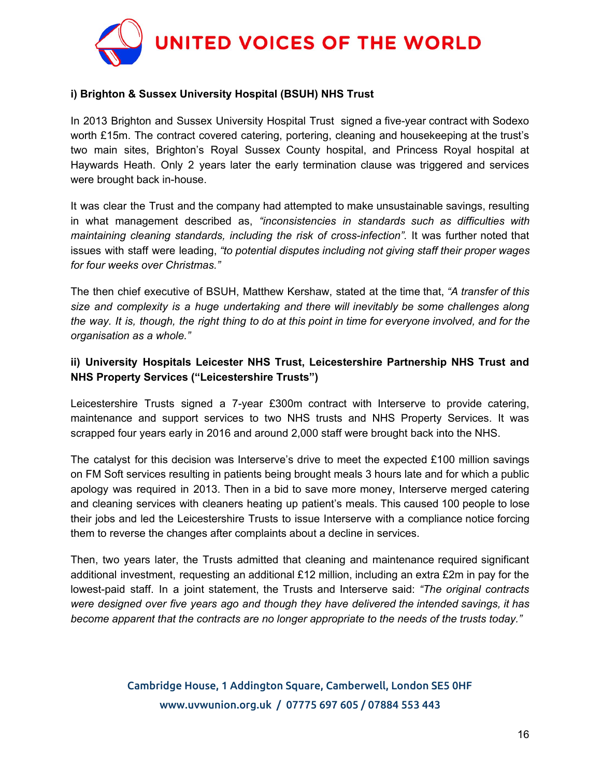

#### **i) Brighton & Sussex University Hospital (BSUH) NHS Trust**

In 2013 Brighton and Sussex University Hospital Trust signed a five-year contract with Sodexo worth £15m. The contract covered catering, portering, cleaning and housekeeping at the trust's two main sites, Brighton's Royal Sussex County hospital, and Princess Royal hospital at Haywards Heath. Only 2 years later the early termination clause was triggered and services were brought back in-house.

It was clear the Trust and the company had attempted to make unsustainable savings, resulting in what management described as, *"inconsistencies in standards such as difficulties with maintaining cleaning standards, including the risk of cross-infection".* It was further noted that issues with staff were leading, *"to potential disputes including not giving staff their proper wages for four weeks over Christmas."*

The then chief executive of BSUH, Matthew Kershaw, stated at the time that, *"A transfer of this size and complexity is a huge undertaking and there will inevitably be some challenges along* the way. It is, though, the right thing to do at this point in time for everyone involved, and for the *organisation as a whole."*

## **ii) University Hospitals Leicester NHS Trust, Leicestershire Partnership NHS Trust and NHS Property Services ("Leicestershire Trusts")**

Leicestershire Trusts signed a 7-year £300m contract with Interserve to provide catering, maintenance and support services to two NHS trusts and NHS Property Services. It was scrapped four years early in 2016 and around 2,000 staff were brought back into the NHS.

The catalyst for this decision was Interserve's drive to meet the expected £100 million savings on FM Soft services resulting in patients being brought meals 3 hours late and for which a public apology was required in 2013. Then in a bid to save more money, Interserve merged catering and cleaning services with cleaners heating up patient's meals. This caused 100 people to lose their jobs and led the Leicestershire Trusts to issue Interserve with a compliance notice forcing them to reverse the changes after complaints about a decline in services.

Then, two years later, the Trusts admitted that cleaning and maintenance required significant additional investment, requesting an additional £12 million, including an extra £2m in pay for the lowest-paid staff. In a joint statement, the Trusts and Interserve said: *"The original contracts were designed over five years ago and though they have delivered the intended savings, it has become apparent that the contracts are no longer appropriate to the needs of the trusts today."*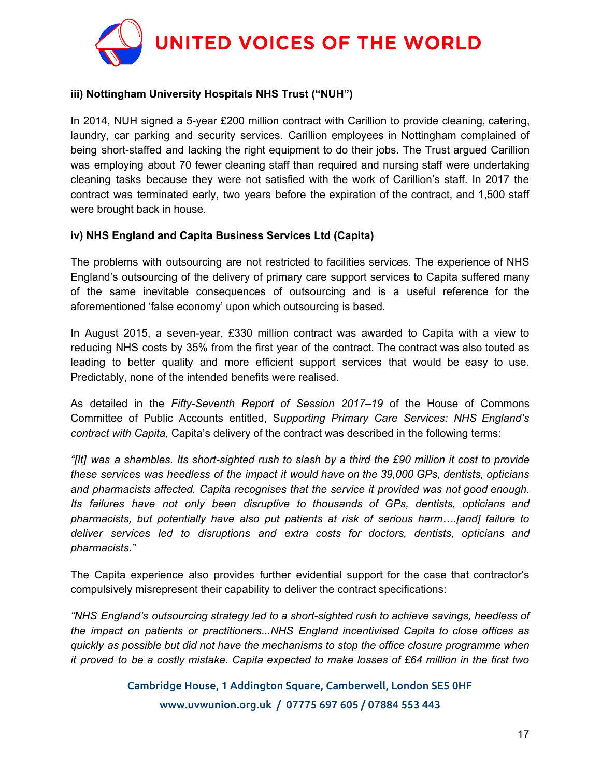

#### **iii) Nottingham University Hospitals NHS Trust ("NUH")**

In 2014, NUH signed a 5-year £200 million contract with Carillion to provide cleaning, catering, laundry, car parking and security services. Carillion employees in Nottingham complained of being short-staffed and lacking the right equipment to do their jobs. The Trust argued Carillion was employing about 70 fewer cleaning staff than required and nursing staff were undertaking cleaning tasks because they were not satisfied with the work of Carillion's staff. In 2017 the contract was terminated early, two years before the expiration of the contract, and 1,500 staff were brought back in house.

#### **iv) NHS England and Capita Business Services Ltd (Capita)**

The problems with outsourcing are not restricted to facilities services. The experience of NHS England's outsourcing of the delivery of primary care support services to Capita suffered many of the same inevitable consequences of outsourcing and is a useful reference for the aforementioned 'false economy' upon which outsourcing is based.

In August 2015, a seven-year, £330 million contract was awarded to Capita with a view to reducing NHS costs by 35% from the first year of the contract. The contract was also touted as leading to better quality and more efficient support services that would be easy to use. Predictably, none of the intended benefits were realised.

As detailed in the *Fifty-Seventh Report of Session 2017–19* of the House of Commons Committee of Public Accounts entitled, S*upporting Primary Care Services: NHS England's contract with Capita*, Capita's delivery of the contract was described in the following terms:

"[It] was a shambles. Its short-sighted rush to slash by a third the £90 million it cost to provide *these services was heedless of the impact it would have on the 39,000 GPs, dentists, opticians and pharmacists affected. Capita recognises that the service it provided was not good enough. Its failures have not only been disruptive to thousands of GPs, dentists, opticians and pharmacists, but potentially have also put patients at risk of serious harm….[and] failure to deliver services led to disruptions and extra costs for doctors, dentists, opticians and pharmacists."*

The Capita experience also provides further evidential support for the case that contractor's compulsively misrepresent their capability to deliver the contract specifications:

*"NHS England's outsourcing strategy led to a short-sighted rush to achieve savings, heedless of the impact on patients or practitioners...NHS England incentivised Capita to close offices as quickly as possible but did not have the mechanisms to stop the office closure programme when* it proved to be a costly mistake. Capita expected to make losses of £64 million in the first two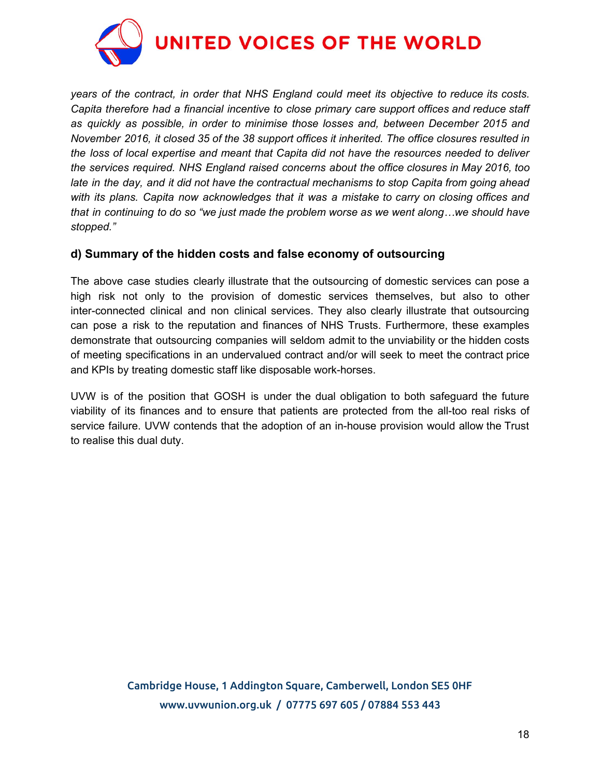

*years of the contract, in order that NHS England could meet its objective to reduce its costs. Capita therefore had a financial incentive to close primary care support offices and reduce staff as quickly as possible, in order to minimise those losses and, between December 2015 and November 2016, it closed 35 of the 38 support offices it inherited. The office closures resulted in the loss of local expertise and meant that Capita did not have the resources needed to deliver the services required. NHS England raised concerns about the office closures in May 2016, too late in the day, and it did not have the contractual mechanisms to stop Capita from going ahead with its plans. Capita now acknowledges that it was a mistake to carry on closing offices and that in continuing to do so "we just made the problem worse as we went along…we should have stopped."*

## **d) Summary of the hidden costs and false economy of outsourcing**

The above case studies clearly illustrate that the outsourcing of domestic services can pose a high risk not only to the provision of domestic services themselves, but also to other inter-connected clinical and non clinical services. They also clearly illustrate that outsourcing can pose a risk to the reputation and finances of NHS Trusts. Furthermore, these examples demonstrate that outsourcing companies will seldom admit to the unviability or the hidden costs of meeting specifications in an undervalued contract and/or will seek to meet the contract price and KPIs by treating domestic staff like disposable work-horses.

UVW is of the position that GOSH is under the dual obligation to both safeguard the future viability of its finances and to ensure that patients are protected from the all-too real risks of service failure. UVW contends that the adoption of an in-house provision would allow the Trust to realise this dual duty.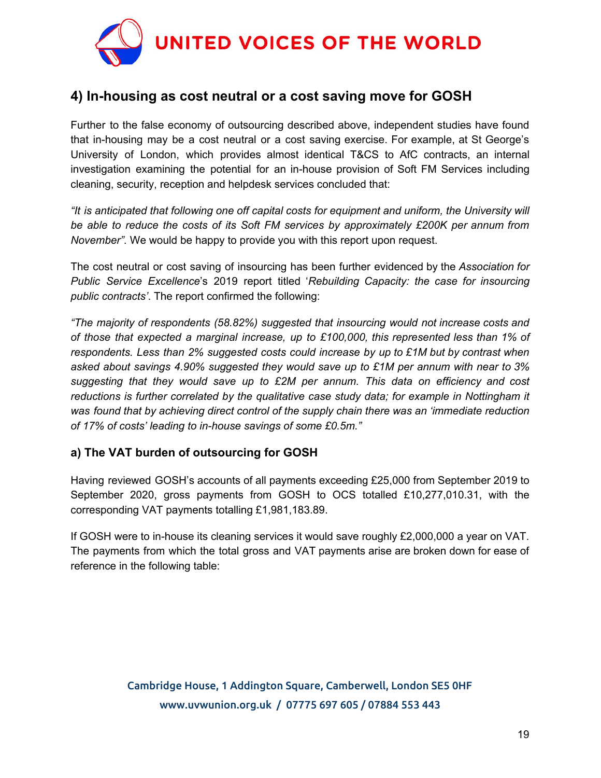

# **4) In-housing as cost neutral or a cost saving move for GOSH**

Further to the false economy of outsourcing described above, independent studies have found that in-housing may be a cost neutral or a cost saving exercise. For example, at St George's University of London, which provides almost identical T&CS to AfC contracts, an internal investigation examining the potential for an in-house provision of Soft FM Services including cleaning, security, reception and helpdesk services concluded that:

*"It is anticipated that following one off capital costs for equipment and uniform, the University will be able to reduce the costs of its Soft FM services by approximately £200K per annum from November".* We would be happy to provide you with this report upon request.

The cost neutral or cost saving of insourcing has been further evidenced by the *Association for Public Service Excellence*'s 2019 report titled '*Rebuilding Capacity: the case for insourcing public contracts'*. The report confirmed the following:

*"The majority of respondents (58.82%) suggested that insourcing would not increase costs and of those that expected a marginal increase, up to £100,000, this represented less than 1% of respondents. Less than 2% suggested costs could increase by up to £1M but by contrast when asked about savings 4.90% suggested they would save up to £1M per annum with near to 3% suggesting that they would save up to £2M per annum. This data on efficiency and cost reductions is further correlated by the qualitative case study data; for example in Nottingham it was found that by achieving direct control of the supply chain there was an 'immediate reduction of 17% of costs' leading to in-house savings of some £0.5m."*

## **a) The VAT burden of outsourcing for GOSH**

Having reviewed GOSH's accounts of all payments exceeding £25,000 from September 2019 to September 2020, gross payments from GOSH to OCS totalled £10,277,010.31, with the corresponding VAT payments totalling £1,981,183.89.

If GOSH were to in-house its cleaning services it would save roughly £2,000,000 a year on VAT. The payments from which the total gross and VAT payments arise are broken down for ease of reference in the following table: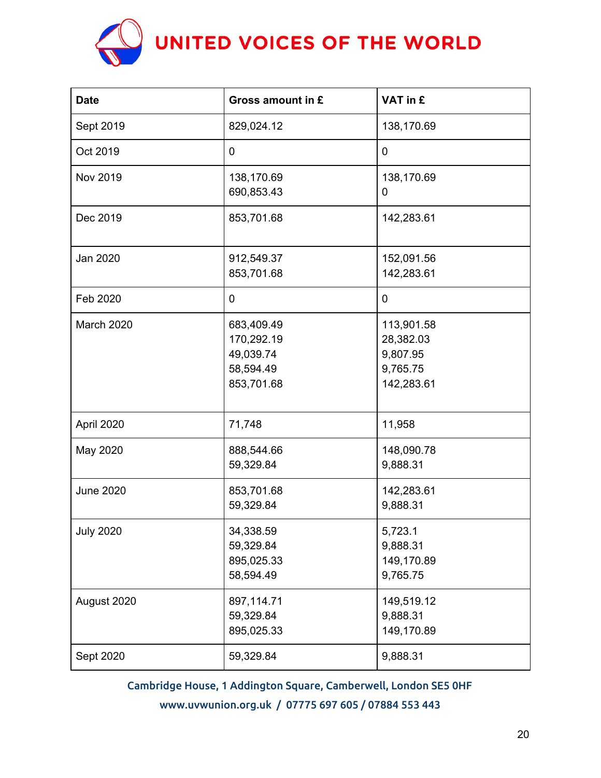

| <b>Date</b>      | Gross amount in £                                                | VAT in £                                                      |
|------------------|------------------------------------------------------------------|---------------------------------------------------------------|
| Sept 2019        | 829,024.12                                                       | 138,170.69                                                    |
| Oct 2019         | $\mathbf 0$                                                      | $\mathbf 0$                                                   |
| Nov 2019         | 138,170.69<br>690,853.43                                         | 138,170.69<br>0                                               |
| Dec 2019         | 853,701.68                                                       | 142,283.61                                                    |
| Jan 2020         | 912,549.37<br>853,701.68                                         | 152,091.56<br>142,283.61                                      |
| Feb 2020         | $\mathbf 0$                                                      | 0                                                             |
| March 2020       | 683,409.49<br>170,292.19<br>49,039.74<br>58,594.49<br>853,701.68 | 113,901.58<br>28,382.03<br>9,807.95<br>9,765.75<br>142,283.61 |
| April 2020       | 71,748                                                           | 11,958                                                        |
| May 2020         | 888,544.66<br>59,329.84                                          | 148,090.78<br>9,888.31                                        |
| <b>June 2020</b> | 853,701.68<br>59,329.84                                          | 142,283.61<br>9,888.31                                        |
| <b>July 2020</b> | 34,338.59<br>59,329.84<br>895,025.33<br>58,594.49                | 5,723.1<br>9,888.31<br>149,170.89<br>9,765.75                 |
| August 2020      | 897,114.71<br>59,329.84<br>895,025.33                            | 149,519.12<br>9,888.31<br>149,170.89                          |
| Sept 2020        | 59,329.84                                                        | 9,888.31                                                      |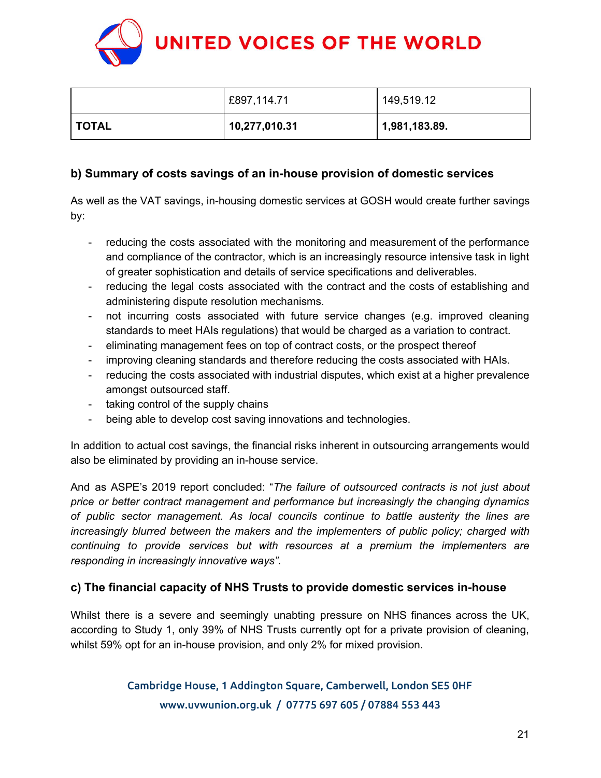

|              | £897,114.71   | 149,519.12    |
|--------------|---------------|---------------|
| <b>TOTAL</b> | 10,277,010.31 | 1,981,183.89. |

## **b) Summary of costs savings of an in-house provision of domestic services**

As well as the VAT savings, in-housing domestic services at GOSH would create further savings by:

- reducing the costs associated with the monitoring and measurement of the performance and compliance of the contractor, which is an increasingly resource intensive task in light of greater sophistication and details of service specifications and deliverables.
- reducing the legal costs associated with the contract and the costs of establishing and administering dispute resolution mechanisms.
- not incurring costs associated with future service changes (e.g. improved cleaning standards to meet HAIs regulations) that would be charged as a variation to contract.
- eliminating management fees on top of contract costs, or the prospect thereof
- improving cleaning standards and therefore reducing the costs associated with HAIs.
- reducing the costs associated with industrial disputes, which exist at a higher prevalence amongst outsourced staff.
- taking control of the supply chains
- being able to develop cost saving innovations and technologies.

In addition to actual cost savings, the financial risks inherent in outsourcing arrangements would also be eliminated by providing an in-house service.

And as ASPE's 2019 report concluded: "*The failure of outsourced contracts is not just about price or better contract management and performance but increasingly the changing dynamics of public sector management. As local councils continue to battle austerity the lines are increasingly blurred between the makers and the implementers of public policy; charged with continuing to provide services but with resources at a premium the implementers are responding in increasingly innovative ways".*

## **c) The financial capacity of NHS Trusts to provide domestic services in-house**

Whilst there is a severe and seemingly unabting pressure on NHS finances across the UK, according to Study 1, only 39% of NHS Trusts currently opt for a private provision of cleaning, whilst 59% opt for an in-house provision, and only 2% for mixed provision.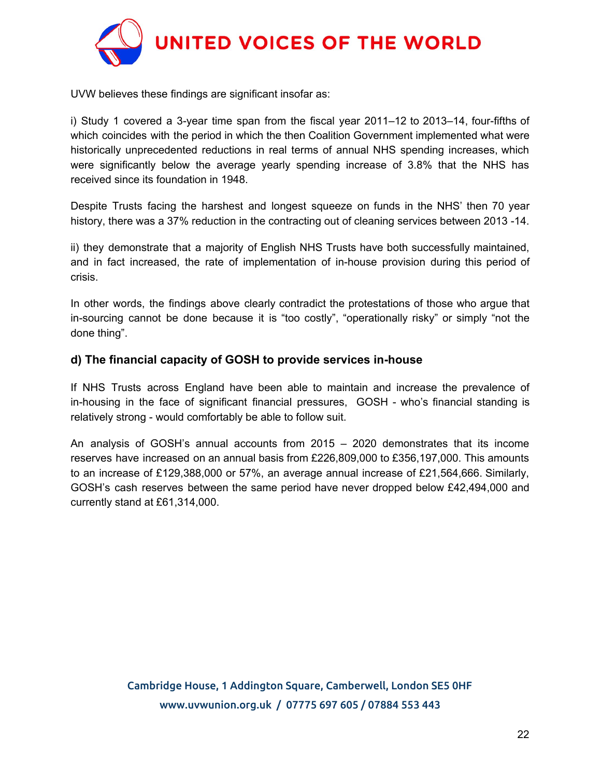

UVW believes these findings are significant insofar as:

i) Study 1 covered a 3-year time span from the fiscal year 2011–12 to 2013–14, four-fifths of which coincides with the period in which the then Coalition Government implemented what were historically unprecedented reductions in real terms of annual NHS spending increases, which were significantly below the average yearly spending increase of 3.8% that the NHS has received since its foundation in 1948.

Despite Trusts facing the harshest and longest squeeze on funds in the NHS' then 70 year history, there was a 37% reduction in the contracting out of cleaning services between 2013 -14.

ii) they demonstrate that a majority of English NHS Trusts have both successfully maintained, and in fact increased, the rate of implementation of in-house provision during this period of crisis.

In other words, the findings above clearly contradict the protestations of those who argue that in-sourcing cannot be done because it is "too costly", "operationally risky" or simply "not the done thing".

## **d) The financial capacity of GOSH to provide services in-house**

If NHS Trusts across England have been able to maintain and increase the prevalence of in-housing in the face of significant financial pressures, GOSH - who's financial standing is relatively strong - would comfortably be able to follow suit.

An analysis of GOSH's annual accounts from 2015 – 2020 demonstrates that its income reserves have increased on an annual basis from £226,809,000 to £356,197,000. This amounts to an increase of £129,388,000 or 57%, an average annual increase of £21,564,666. Similarly, GOSH's cash reserves between the same period have never dropped below £42,494,000 and currently stand at £61,314,000.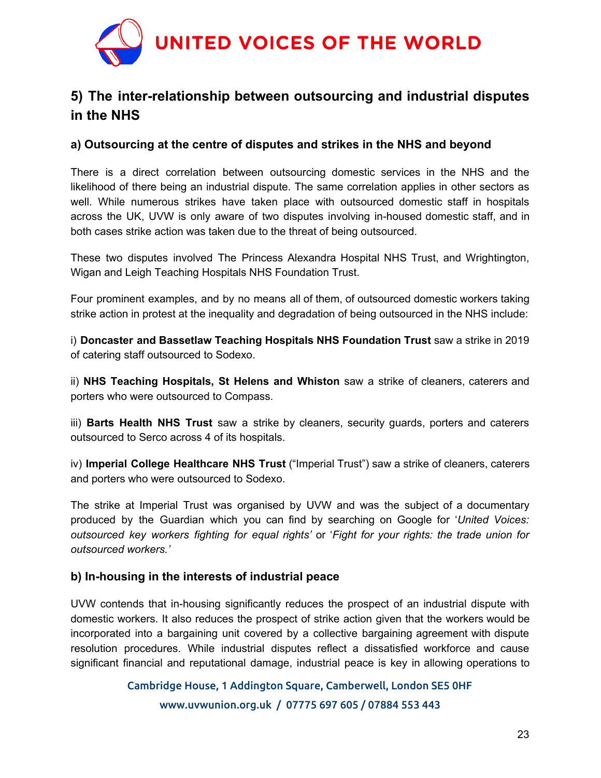

# **5) The inter-relationship between outsourcing and industrial disputes in the NHS**

## **a) Outsourcing at the centre of disputes and strikes in the NHS and beyond**

There is a direct correlation between outsourcing domestic services in the NHS and the likelihood of there being an industrial dispute. The same correlation applies in other sectors as well. While numerous strikes have taken place with outsourced domestic staff in hospitals across the UK, UVW is only aware of two disputes involving in-housed domestic staff, and in both cases strike action was taken due to the threat of being outsourced.

These two disputes involved The Princess Alexandra Hospital NHS Trust, and Wrightington, Wigan and Leigh Teaching Hospitals NHS Foundation Trust.

Four prominent examples, and by no means all of them, of outsourced domestic workers taking strike action in protest at the inequality and degradation of being outsourced in the NHS include:

i) **Doncaster and Bassetlaw Teaching Hospitals NHS Foundation Trust** saw a strike in 2019 of catering staff outsourced to Sodexo.

ii) **NHS Teaching Hospitals, St Helens and Whiston** saw a strike of cleaners, caterers and porters who were outsourced to Compass.

iii) **Barts Health NHS Trust** saw a strike by cleaners, security guards, porters and caterers outsourced to Serco across 4 of its hospitals.

iv) **Imperial College Healthcare NHS Trust** ("Imperial Trust") saw a strike of cleaners, caterers and porters who were outsourced to Sodexo.

The strike at Imperial Trust was organised by UVW and was the subject of a documentary produced by the Guardian which you can find by searching on Google for '*United Voices: outsourced key workers fighting for equal rights'* or '*Fight for your rights: the trade union for outsourced workers.'*

## **b) In-housing in the interests of industrial peace**

UVW contends that in-housing significantly reduces the prospect of an industrial dispute with domestic workers. It also reduces the prospect of strike action given that the workers would be incorporated into a bargaining unit covered by a collective bargaining agreement with dispute resolution procedures. While industrial disputes reflect a dissatisfied workforce and cause significant financial and reputational damage, industrial peace is key in allowing operations to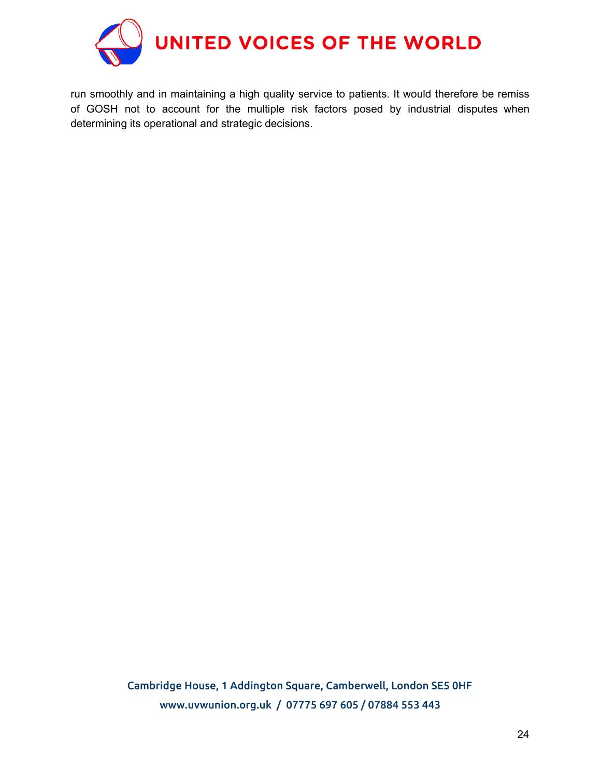

run smoothly and in maintaining a high quality service to patients. It would therefore be remiss of GOSH not to account for the multiple risk factors posed by industrial disputes when determining its operational and strategic decisions.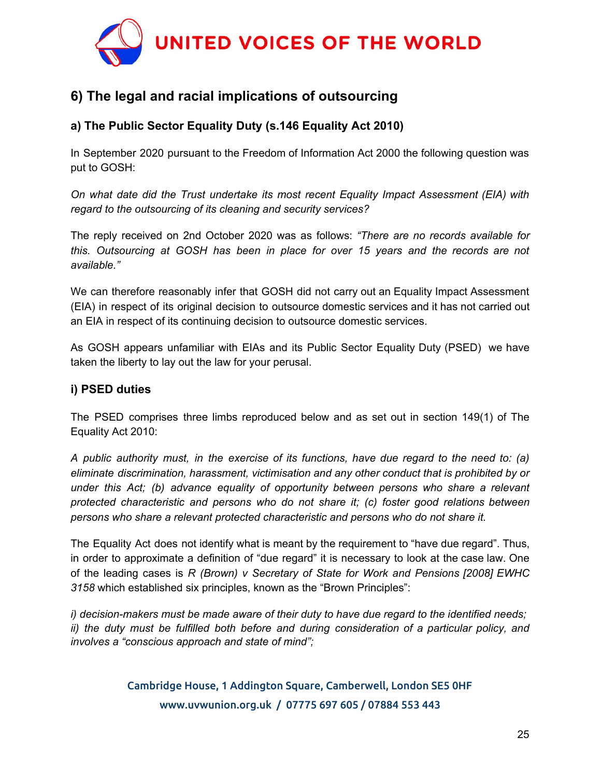

# **6) The legal and racial implications of outsourcing**

## **a) The Public Sector Equality Duty (s.146 Equality Act 2010)**

In September 2020 pursuant to the Freedom of Information Act 2000 the following question was put to GOSH:

*On what date did the Trust undertake its most recent Equality Impact Assessment (EIA) with regard to the outsourcing of its cleaning and security services?*

The reply received on 2nd October 2020 was as follows: *"There are no records available for this. Outsourcing at GOSH has been in place for over 15 years and the records are not available."*

We can therefore reasonably infer that GOSH did not carry out an Equality Impact Assessment (EIA) in respect of its original decision to outsource domestic services and it has not carried out an EIA in respect of its continuing decision to outsource domestic services.

As GOSH appears unfamiliar with EIAs and its Public Sector Equality Duty (PSED) we have taken the liberty to lay out the law for your perusal.

## **i) PSED duties**

The PSED comprises three limbs reproduced below and as set out in section 149(1) of The Equality Act 2010:

*A public authority must, in the exercise of its functions, have due regard to the need to: (a) eliminate discrimination, harassment, victimisation and any other conduct that is prohibited by or under this Act; (b) advance equality of opportunity between persons who share a relevant protected characteristic and persons who do not share it; (c) foster good relations between persons who share a relevant protected characteristic and persons who do not share it.*

The Equality Act does not identify what is meant by the requirement to "have due regard". Thus, in order to approximate a definition of "due regard" it is necessary to look at the case law. One of the leading cases is *R (Brown) v Secretary of State for Work and Pensions [2008] EWHC 3158* which established six principles, known as the "Brown Principles":

*i) decision-makers must be made aware of their duty to have due regard to the identified needs; ii) the duty must be fulfilled both before and during consideration of a particular policy, and involves a "conscious approach and state of mind";*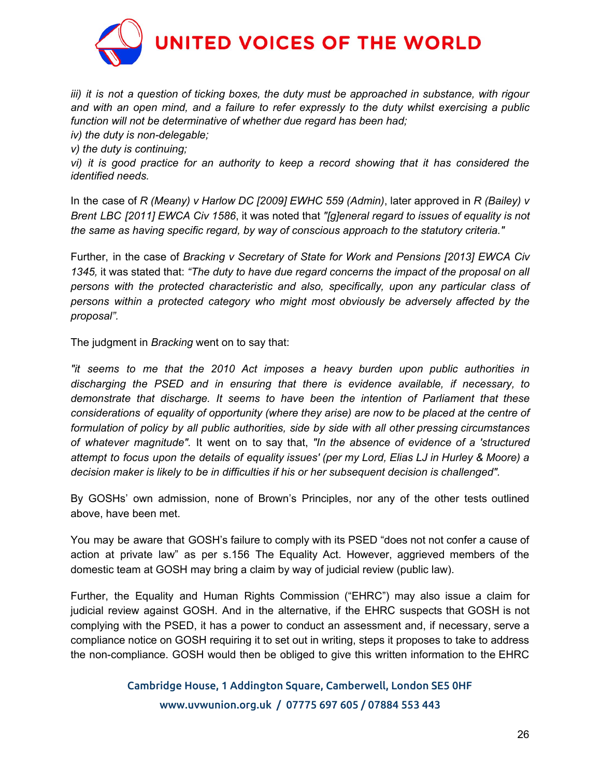

*iii) it is not a question of ticking boxes, the duty must be approached in substance, with rigour and with an open mind, and a failure to refer expressly to the duty whilst exercising a public function will not be determinative of whether due regard has been had;*

*iv) the duty is non-delegable;*

*v) the duty is continuing;*

*vi) it is good practice for an authority to keep a record showing that it has considered the identified needs.*

In the case of *R (Meany) v Harlow DC [2009] EWHC 559 (Admin)*, later approved in *R (Bailey) v Brent LBC [2011] EWCA Civ 1586*, it was noted that *"[g]eneral regard to issues of equality is not the same as having specific regard, by way of conscious approach to the statutory criteria."*

Further, in the case of *Bracking v Secretary of State for Work and Pensions [2013] EWCA Civ 1345,* it was stated that: *"The duty to have due regard concerns the impact of the proposal on all persons with the protected characteristic and also, specifically, upon any particular class of persons within a protected category who might most obviously be adversely affected by the proposal".*

The judgment in *Bracking* went on to say that:

*"it seems to me that the 2010 Act imposes a heavy burden upon public authorities in discharging the PSED and in ensuring that there is evidence available, if necessary, to demonstrate that discharge. It seems to have been the intention of Parliament that these considerations of equality of opportunity (where they arise) are now to be placed at the centre of formulation of policy by all public authorities, side by side with all other pressing circumstances of whatever magnitude".* It went on to say that, *"In the absence of evidence of a 'structured* attempt to focus upon the details of equality issues' (per my Lord, Elias LJ in Hurley & Moore) a *decision maker is likely to be in difficulties if his or her subsequent decision is challenged".*

By GOSHs' own admission, none of Brown's Principles, nor any of the other tests outlined above, have been met.

You may be aware that GOSH's failure to comply with its PSED "does not not confer a cause of action at private law" as per s.156 The Equality Act. However, aggrieved members of the domestic team at GOSH may bring a claim by way of judicial review (public law).

Further, the Equality and Human Rights Commission ("EHRC") may also issue a claim for judicial review against GOSH. And in the alternative, if the EHRC suspects that GOSH is not complying with the PSED, it has a power to conduct an assessment and, if necessary, serve a compliance notice on GOSH requiring it to set out in writing, steps it proposes to take to address the non-compliance. GOSH would then be obliged to give this written information to the EHRC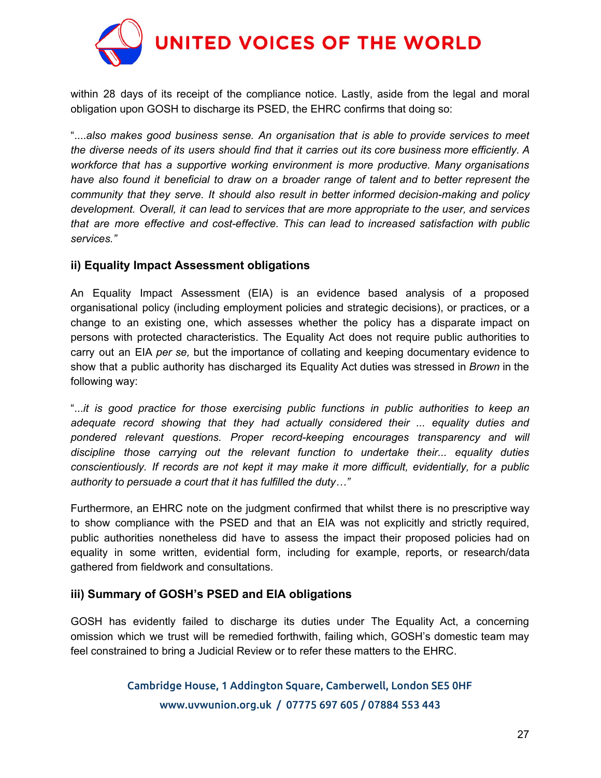

within 28 days of its receipt of the compliance notice. Lastly, aside from the legal and moral obligation upon GOSH to discharge its PSED, the EHRC confirms that doing so:

"....*also makes good business sense. An organisation that is able to provide services to meet* the diverse needs of its users should find that it carries out its core business more efficiently. A *workforce that has a supportive working environment is more productive. Many organisations have also found it beneficial to draw on a broader range of talent and to better represent the community that they serve. It should also result in better informed decision-making and policy development. Overall, it can lead to services that are more appropriate to the user, and services that are more effective and cost-effective. This can lead to increased satisfaction with public services."*

## **ii) Equality Impact Assessment obligations**

An Equality Impact Assessment (EIA) is an evidence based analysis of a proposed organisational policy (including employment policies and strategic decisions), or practices, or a change to an existing one, which assesses whether the policy has a disparate impact on persons with protected characteristics. The Equality Act does not require public authorities to carry out an EIA *per se,* but the importance of collating and keeping documentary evidence to show that a public authority has discharged its Equality Act duties was stressed in *Brown* in the following way:

"...*it is good practice for those exercising public functions in public authorities to keep an adequate record showing that they had actually considered their ... equality duties and pondered relevant questions. Proper record-keeping encourages transparency and will discipline those carrying out the relevant function to undertake their... equality duties conscientiously. If records are not kept it may make it more difficult, evidentially, for a public authority to persuade a court that it has fulfilled the duty…"*

Furthermore, an EHRC note on the judgment confirmed that whilst there is no prescriptive way to show compliance with the PSED and that an EIA was not explicitly and strictly required, public authorities nonetheless did have to assess the impact their proposed policies had on equality in some written, evidential form, including for example, reports, or research/data gathered from fieldwork and consultations.

## **iii) Summary of GOSH's PSED and EIA obligations**

GOSH has evidently failed to discharge its duties under The Equality Act, a concerning omission which we trust will be remedied forthwith, failing which, GOSH's domestic team may feel constrained to bring a Judicial Review or to refer these matters to the EHRC.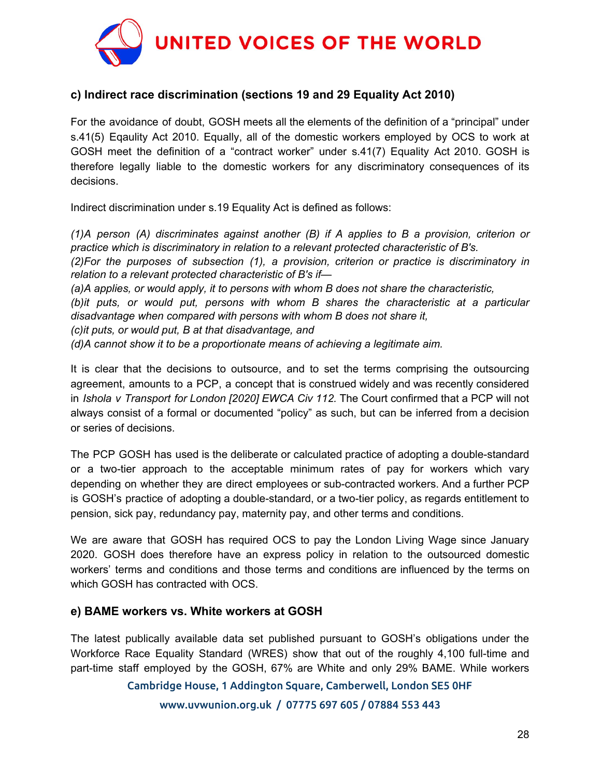

## **c) Indirect race discrimination (sections 19 and 29 Equality Act 2010)**

For the avoidance of doubt, GOSH meets all the elements of the definition of a "principal" under s.41(5) Eqaulity Act 2010. Equally, all of the domestic workers employed by OCS to work at GOSH meet the definition of a "contract worker" under s.41(7) Equality Act 2010. GOSH is therefore legally liable to the domestic workers for any discriminatory consequences of its decisions.

Indirect discrimination under s.19 Equality Act is defined as follows:

*(1)A person (A) discriminates against another (B) if A applies to B a provision, criterion or practice which is discriminatory in relation to a relevant protected characteristic of B's.*

*(2)For the purposes of subsection (1), a provision, criterion or practice is discriminatory in relation to a relevant protected characteristic of B's if—*

*(a)A applies, or would apply, it to persons with whom B does not share the characteristic,*

*(b)it puts, or would put, persons with whom B shares the characteristic at a particular disadvantage when compared with persons with whom B does not share it,*

*(c)it puts, or would put, B at that disadvantage, and*

*(d)A cannot show it to be a proportionate means of achieving a legitimate aim.*

It is clear that the decisions to outsource, and to set the terms comprising the outsourcing agreement, amounts to a PCP, a concept that is construed widely and was recently considered in *Ishola v Transport for London [2020] EWCA Civ 112.* The Court confirmed that a PCP will not always consist of a formal or documented "policy" as such, but can be inferred from a decision or series of decisions.

The PCP GOSH has used is the deliberate or calculated practice of adopting a double-standard or a two-tier approach to the acceptable minimum rates of pay for workers which vary depending on whether they are direct employees or sub-contracted workers. And a further PCP is GOSH's practice of adopting a double-standard, or a two-tier policy, as regards entitlement to pension, sick pay, redundancy pay, maternity pay, and other terms and conditions.

We are aware that GOSH has required OCS to pay the London Living Wage since January 2020. GOSH does therefore have an express policy in relation to the outsourced domestic workers' terms and conditions and those terms and conditions are influenced by the terms on which GOSH has contracted with OCS.

## **e) BAME workers vs. White workers at GOSH**

The latest publically available data set published pursuant to GOSH's obligations under the Workforce Race Equality Standard (WRES) show that out of the roughly 4,100 full-time and part-time staff employed by the GOSH, 67% are White and only 29% BAME. While workers

## Cambridge House, 1 Addington Square, Camberwell, London SE5 0HF

www.uvwunion.org.uk / 07775 697 605 / 07884 553 443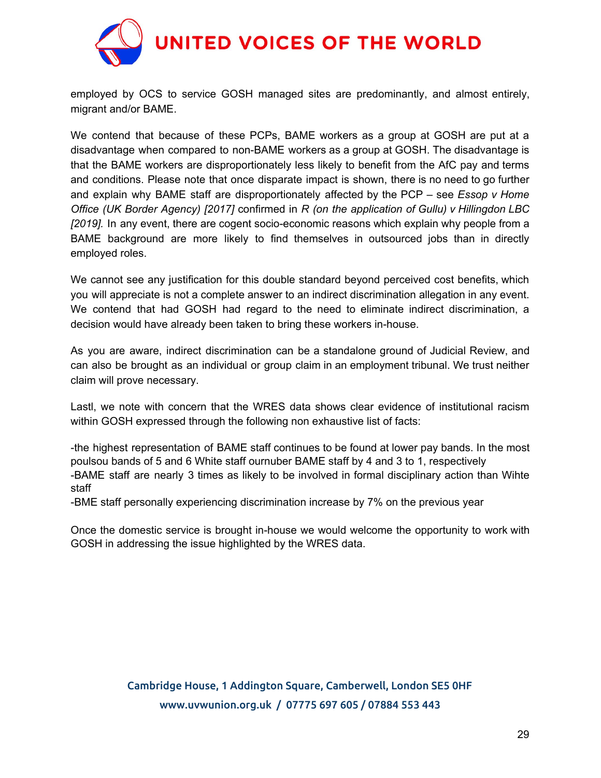

employed by OCS to service GOSH managed sites are predominantly, and almost entirely, migrant and/or BAME.

We contend that because of these PCPs, BAME workers as a group at GOSH are put at a disadvantage when compared to non-BAME workers as a group at GOSH. The disadvantage is that the BAME workers are disproportionately less likely to benefit from the AfC pay and terms and conditions. Please note that once disparate impact is shown, there is no need to go further and explain why BAME staff are disproportionately affected by the PCP – see *Essop v Home Office (UK Border Agency) [2017]* confirmed in *R (on the application of Gullu) v Hillingdon LBC [2019].* In any event, there are cogent socio-economic reasons which explain why people from a BAME background are more likely to find themselves in outsourced jobs than in directly employed roles.

We cannot see any justification for this double standard beyond perceived cost benefits, which you will appreciate is not a complete answer to an indirect discrimination allegation in any event. We contend that had GOSH had regard to the need to eliminate indirect discrimination, a decision would have already been taken to bring these workers in-house.

As you are aware, indirect discrimination can be a standalone ground of Judicial Review, and can also be brought as an individual or group claim in an employment tribunal. We trust neither claim will prove necessary.

Lastl, we note with concern that the WRES data shows clear evidence of institutional racism within GOSH expressed through the following non exhaustive list of facts:

-the highest representation of BAME staff continues to be found at lower pay bands. In the most poulsou bands of 5 and 6 White staff ournuber BAME staff by 4 and 3 to 1, respectively -BAME staff are nearly 3 times as likely to be involved in formal disciplinary action than Wihte staff

-BME staff personally experiencing discrimination increase by 7% on the previous year

Once the domestic service is brought in-house we would welcome the opportunity to work with GOSH in addressing the issue highlighted by the WRES data.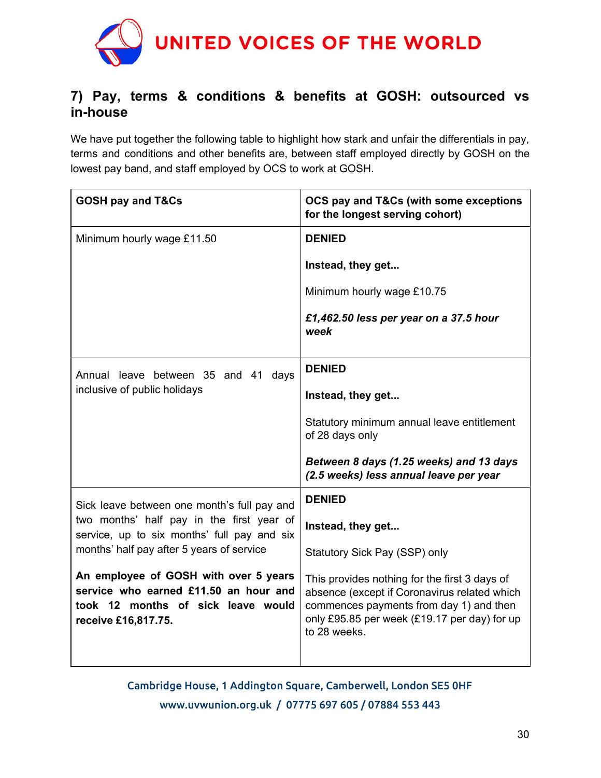

# **7) Pay, terms & conditions & benefits at GOSH: outsourced vs in-house**

We have put together the following table to highlight how stark and unfair the differentials in pay, terms and conditions and other benefits are, between staff employed directly by GOSH on the lowest pay band, and staff employed by OCS to work at GOSH.

| <b>GOSH pay and T&amp;Cs</b>                                                                                                                | OCS pay and T&Cs (with some exceptions<br>for the longest serving cohort)                                                                                                                                |
|---------------------------------------------------------------------------------------------------------------------------------------------|----------------------------------------------------------------------------------------------------------------------------------------------------------------------------------------------------------|
| Minimum hourly wage £11.50                                                                                                                  | <b>DENIED</b>                                                                                                                                                                                            |
|                                                                                                                                             | Instead, they get                                                                                                                                                                                        |
|                                                                                                                                             | Minimum hourly wage £10.75                                                                                                                                                                               |
|                                                                                                                                             | £1,462.50 less per year on a 37.5 hour<br>week                                                                                                                                                           |
| Annual leave between 35 and 41 days<br>inclusive of public holidays                                                                         | <b>DENIED</b>                                                                                                                                                                                            |
|                                                                                                                                             | Instead, they get                                                                                                                                                                                        |
|                                                                                                                                             | Statutory minimum annual leave entitlement<br>of 28 days only                                                                                                                                            |
|                                                                                                                                             | Between 8 days (1.25 weeks) and 13 days<br>(2.5 weeks) less annual leave per year                                                                                                                        |
| Sick leave between one month's full pay and                                                                                                 | <b>DENIED</b>                                                                                                                                                                                            |
| two months' half pay in the first year of<br>service, up to six months' full pay and six                                                    | Instead, they get                                                                                                                                                                                        |
| months' half pay after 5 years of service                                                                                                   | Statutory Sick Pay (SSP) only                                                                                                                                                                            |
| An employee of GOSH with over 5 years<br>service who earned £11.50 an hour and<br>took 12 months of sick leave would<br>receive £16,817.75. | This provides nothing for the first 3 days of<br>absence (except if Coronavirus related which<br>commences payments from day 1) and then<br>only £95.85 per week (£19.17 per day) for up<br>to 28 weeks. |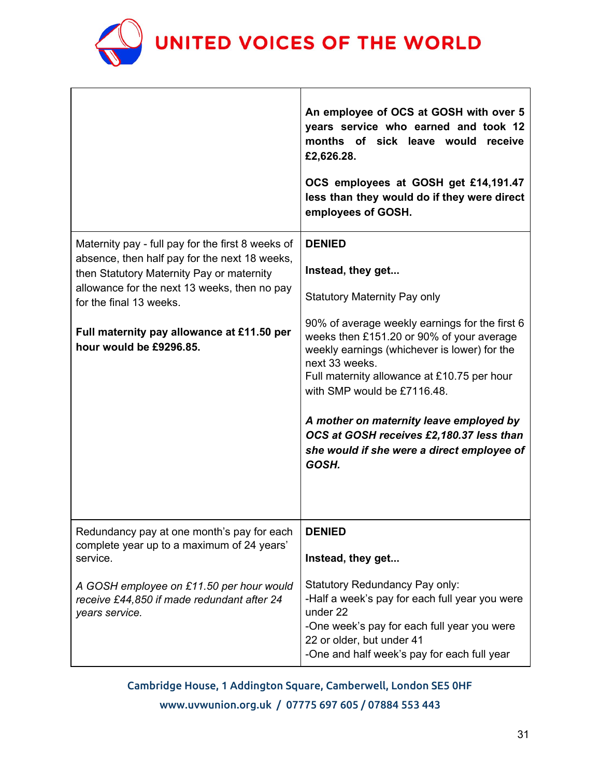

 $\Gamma$ 

|                                                                                                                                                                                                                                                                                                     | An employee of OCS at GOSH with over 5<br>years service who earned and took 12<br>months of sick leave would<br>receive<br>£2,626.28.<br>OCS employees at GOSH get £14,191.47<br>less than they would do if they were direct<br>employees of GOSH.                                                                                                                                                                                                                     |
|-----------------------------------------------------------------------------------------------------------------------------------------------------------------------------------------------------------------------------------------------------------------------------------------------------|------------------------------------------------------------------------------------------------------------------------------------------------------------------------------------------------------------------------------------------------------------------------------------------------------------------------------------------------------------------------------------------------------------------------------------------------------------------------|
| Maternity pay - full pay for the first 8 weeks of<br>absence, then half pay for the next 18 weeks,<br>then Statutory Maternity Pay or maternity<br>allowance for the next 13 weeks, then no pay<br>for the final 13 weeks.<br>Full maternity pay allowance at £11.50 per<br>hour would be £9296.85. | <b>DENIED</b><br>Instead, they get<br><b>Statutory Maternity Pay only</b><br>90% of average weekly earnings for the first 6<br>weeks then £151.20 or 90% of your average<br>weekly earnings (whichever is lower) for the<br>next 33 weeks.<br>Full maternity allowance at £10.75 per hour<br>with SMP would be £7116.48.<br>A mother on maternity leave employed by<br>OCS at GOSH receives £2,180.37 less than<br>she would if she were a direct employee of<br>GOSH. |
| Redundancy pay at one month's pay for each<br>complete year up to a maximum of 24 years'<br>service.<br>A GOSH employee on £11.50 per hour would<br>receive £44,850 if made redundant after 24<br>years service.                                                                                    | <b>DENIED</b><br>Instead, they get<br>Statutory Redundancy Pay only:<br>-Half a week's pay for each full year you were<br>under 22<br>-One week's pay for each full year you were<br>22 or older, but under 41<br>-One and half week's pay for each full year                                                                                                                                                                                                          |

Cambridge House, 1 Addington Square, Camberwell, London SE5 0HF www.uvwunion.org.uk / 07775 697 605 / 07884 553 443

٦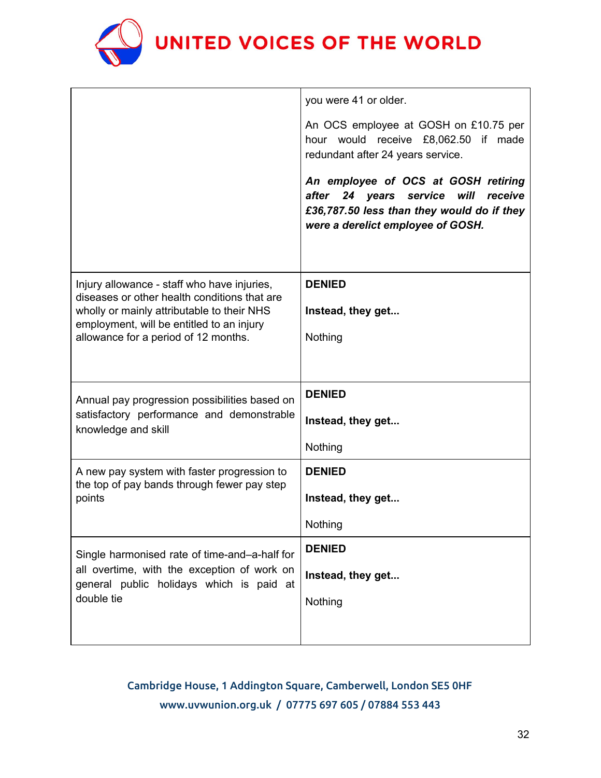

| you were 41 or older.                                                                                                                                            |
|------------------------------------------------------------------------------------------------------------------------------------------------------------------|
| An OCS employee at GOSH on £10.75 per<br>hour would receive £8,062.50 if made<br>redundant after 24 years service.                                               |
| An employee of OCS at GOSH retiring<br>after<br>24 years service will receive<br>£36,787.50 less than they would do if they<br>were a derelict employee of GOSH. |
| <b>DENIED</b><br>Instead, they get<br>Nothing                                                                                                                    |
| <b>DENIED</b><br>Instead, they get<br>Nothing                                                                                                                    |
| <b>DENIED</b><br>Instead, they get<br>Nothing                                                                                                                    |
| <b>DENIED</b><br>Instead, they get<br>Nothing                                                                                                                    |
|                                                                                                                                                                  |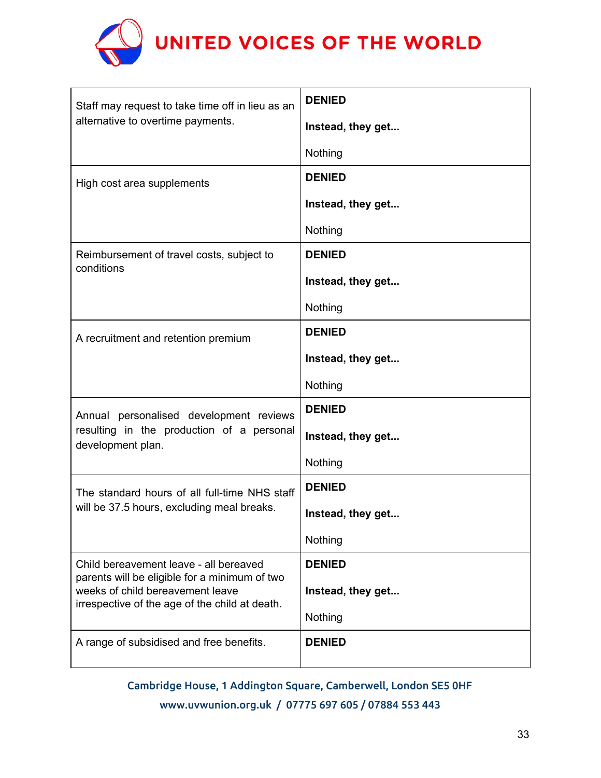

| Staff may request to take time off in lieu as an<br>alternative to overtime payments.                                                                                         | <b>DENIED</b>     |
|-------------------------------------------------------------------------------------------------------------------------------------------------------------------------------|-------------------|
|                                                                                                                                                                               | Instead, they get |
|                                                                                                                                                                               | Nothing           |
| High cost area supplements                                                                                                                                                    | <b>DENIED</b>     |
|                                                                                                                                                                               | Instead, they get |
|                                                                                                                                                                               | Nothing           |
| Reimbursement of travel costs, subject to<br>conditions                                                                                                                       | <b>DENIED</b>     |
|                                                                                                                                                                               | Instead, they get |
|                                                                                                                                                                               | Nothing           |
| A recruitment and retention premium                                                                                                                                           | <b>DENIED</b>     |
|                                                                                                                                                                               | Instead, they get |
|                                                                                                                                                                               | Nothing           |
| Annual personalised development reviews<br>resulting in the production of a personal<br>development plan.                                                                     | <b>DENIED</b>     |
|                                                                                                                                                                               | Instead, they get |
|                                                                                                                                                                               | Nothing           |
| The standard hours of all full-time NHS staff<br>will be 37.5 hours, excluding meal breaks.                                                                                   | <b>DENIED</b>     |
|                                                                                                                                                                               | Instead, they get |
|                                                                                                                                                                               | Nothing           |
| Child bereavement leave - all bereaved<br>parents will be eligible for a minimum of two<br>weeks of child bereavement leave<br>irrespective of the age of the child at death. | <b>DENIED</b>     |
|                                                                                                                                                                               | Instead, they get |
|                                                                                                                                                                               | Nothing           |
| A range of subsidised and free benefits.                                                                                                                                      | <b>DENIED</b>     |
|                                                                                                                                                                               |                   |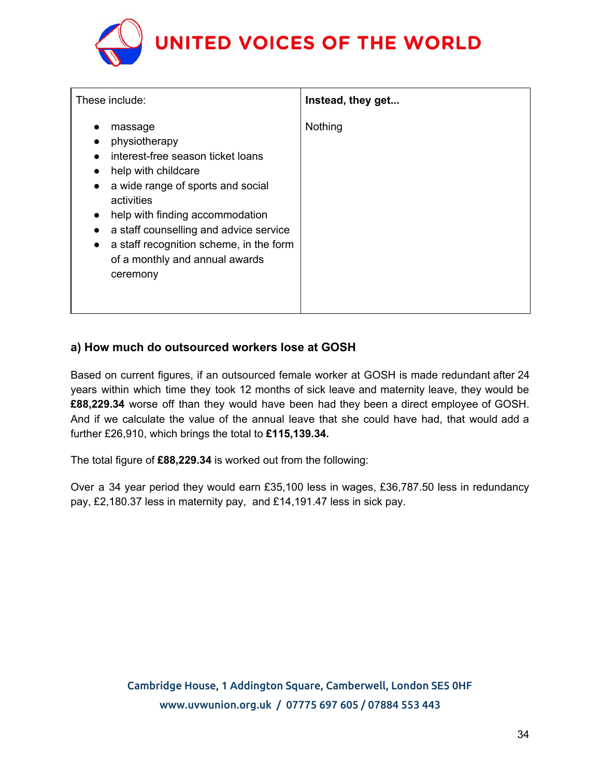# UNITED VOICES OF THE WORLD

| These include:                                                                                                                                                                                                                                                                                                                                       | Instead, they get |
|------------------------------------------------------------------------------------------------------------------------------------------------------------------------------------------------------------------------------------------------------------------------------------------------------------------------------------------------------|-------------------|
| massage<br>physiotherapy<br>interest-free season ticket loans<br>help with childcare<br>a wide range of sports and social<br>$\bullet$<br>activities<br>help with finding accommodation<br>$\bullet$<br>a staff counselling and advice service<br>a staff recognition scheme, in the form<br>$\bullet$<br>of a monthly and annual awards<br>ceremony | Nothing           |

## **a) How much do outsourced workers lose at GOSH**

Based on current figures, if an outsourced female worker at GOSH is made redundant after 24 years within which time they took 12 months of sick leave and maternity leave, they would be **£88,229.34** worse off than they would have been had they been a direct employee of GOSH. And if we calculate the value of the annual leave that she could have had, that would add a further £26,910, which brings the total to **£115,139.34.**

The total figure of **£88,229.34** is worked out from the following:

Over a 34 year period they would earn £35,100 less in wages, £36,787.50 less in redundancy pay, £2,180.37 less in maternity pay, and £14,191.47 less in sick pay.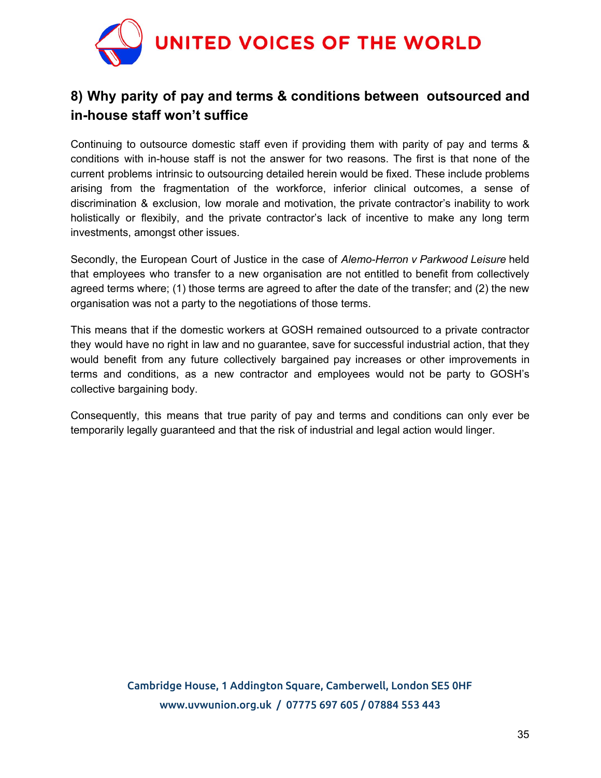

# **8) Why parity of pay and terms & conditions between outsourced and in-house staff won't suffice**

Continuing to outsource domestic staff even if providing them with parity of pay and terms & conditions with in-house staff is not the answer for two reasons. The first is that none of the current problems intrinsic to outsourcing detailed herein would be fixed. These include problems arising from the fragmentation of the workforce, inferior clinical outcomes, a sense of discrimination & exclusion, low morale and motivation, the private contractor's inability to work holistically or flexibily, and the private contractor's lack of incentive to make any long term investments, amongst other issues.

Secondly, the European Court of Justice in the case of *Alemo-Herron v Parkwood Leisure* held that employees who transfer to a new organisation are not entitled to benefit from collectively agreed terms where; (1) those terms are agreed to after the date of the transfer; and (2) the new organisation was not a party to the negotiations of those terms.

This means that if the domestic workers at GOSH remained outsourced to a private contractor they would have no right in law and no guarantee, save for successful industrial action, that they would benefit from any future collectively bargained pay increases or other improvements in terms and conditions, as a new contractor and employees would not be party to GOSH's collective bargaining body.

Consequently, this means that true parity of pay and terms and conditions can only ever be temporarily legally guaranteed and that the risk of industrial and legal action would linger.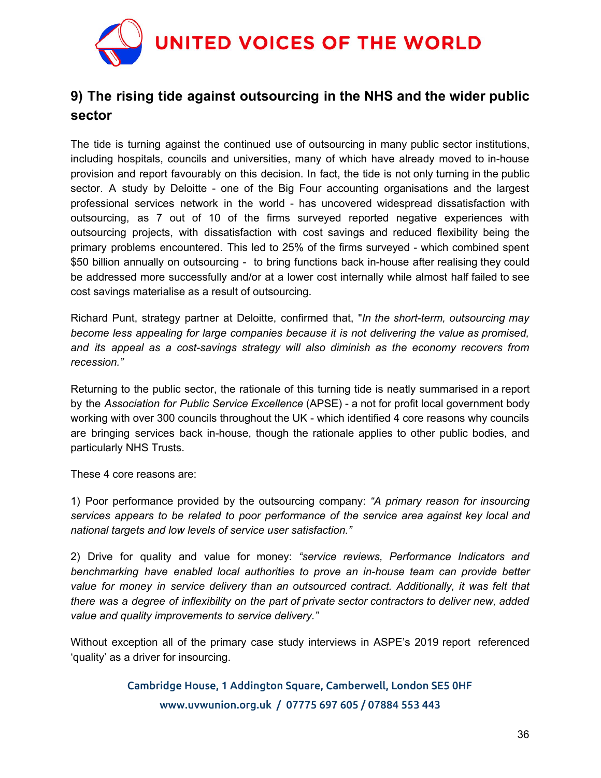

# **9) The rising tide against outsourcing in the NHS and the wider public sector**

The tide is turning against the continued use of outsourcing in many public sector institutions, including hospitals, councils and universities, many of which have already moved to in-house provision and report favourably on this decision. In fact, the tide is not only turning in the public sector. A study by Deloitte - one of the Big Four accounting organisations and the largest professional services network in the world - has uncovered widespread dissatisfaction with outsourcing, as 7 out of 10 of the firms surveyed reported negative experiences with outsourcing projects, with dissatisfaction with cost savings and reduced flexibility being the primary problems encountered. This led to 25% of the firms surveyed - which combined spent \$50 billion annually on outsourcing - to bring functions back in-house after realising they could be addressed more successfully and/or at a lower cost internally while almost half failed to see cost savings materialise as a result of outsourcing.

Richard Punt, strategy partner at Deloitte, confirmed that, "*In the short-term, outsourcing may become less appealing for large companies because it is not delivering the value as promised, and its appeal as a cost-savings strategy will also diminish as the economy recovers from recession."*

Returning to the public sector, the rationale of this turning tide is neatly summarised in a report by the *Association for Public Service Excellence* (APSE) - a not for profit local government body working with over 300 councils throughout the UK - which identified 4 core reasons why councils are bringing services back in-house, though the rationale applies to other public bodies, and particularly NHS Trusts.

These 4 core reasons are:

1) Poor performance provided by the outsourcing company: *"A primary reason for insourcing services appears to be related to poor performance of the service area against key local and national targets and low levels of service user satisfaction."*

2) Drive for quality and value for money: *"service reviews, Performance Indicators and benchmarking have enabled local authorities to prove an in-house team can provide better value for money in service delivery than an outsourced contract. Additionally, it was felt that there was a degree of inflexibility on the part of private sector contractors to deliver new, added value and quality improvements to service delivery."*

Without exception all of the primary case study interviews in ASPE's 2019 report referenced 'quality' as a driver for insourcing.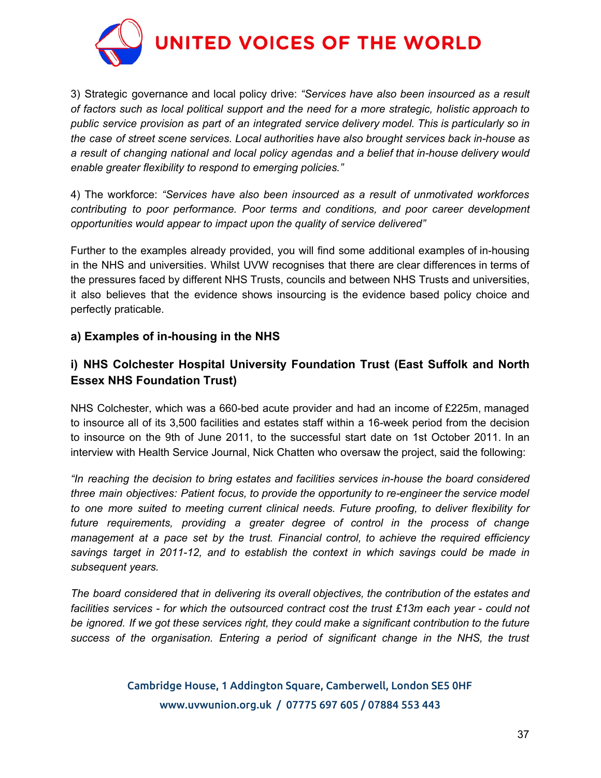

3) Strategic governance and local policy drive: *"Services have also been insourced as a result of factors such as local political support and the need for a more strategic, holistic approach to public service provision as part of an integrated service delivery model. This is particularly so in the case of street scene services. Local authorities have also brought services back in-house as a result of changing national and local policy agendas and a belief that in-house delivery would enable greater flexibility to respond to emerging policies."*

4) The workforce: *"Services have also been insourced as a result of unmotivated workforces contributing to poor performance. Poor terms and conditions, and poor career development opportunities would appear to impact upon the quality of service delivered"*

Further to the examples already provided, you will find some additional examples of in-housing in the NHS and universities. Whilst UVW recognises that there are clear differences in terms of the pressures faced by different NHS Trusts, councils and between NHS Trusts and universities, it also believes that the evidence shows insourcing is the evidence based policy choice and perfectly praticable.

## **a) Examples of in-housing in the NHS**

## **i) NHS Colchester Hospital University Foundation Trust (East Suffolk and North Essex NHS Foundation Trust)**

NHS Colchester, which was a 660-bed acute provider and had an income of £225m, managed to insource all of its 3,500 facilities and estates staff within a 16-week period from the decision to insource on the 9th of June 2011, to the successful start date on 1st October 2011. In an interview with Health Service Journal, Nick Chatten who oversaw the project, said the following:

*"In reaching the decision to bring estates and facilities services in-house the board considered three main objectives: Patient focus, to provide the opportunity to re-engineer the service model to one more suited to meeting current clinical needs. Future proofing, to deliver flexibility for future requirements, providing a greater degree of control in the process of change management at a pace set by the trust. Financial control, to achieve the required efficiency savings target in 2011-12, and to establish the context in which savings could be made in subsequent years.*

*The board considered that in delivering its overall objectives, the contribution of the estates and facilities services - for which the outsourced contract cost the trust £13m each year - could not be ignored. If we got these services right, they could make a significant contribution to the future success of the organisation. Entering a period of significant change in the NHS, the trust*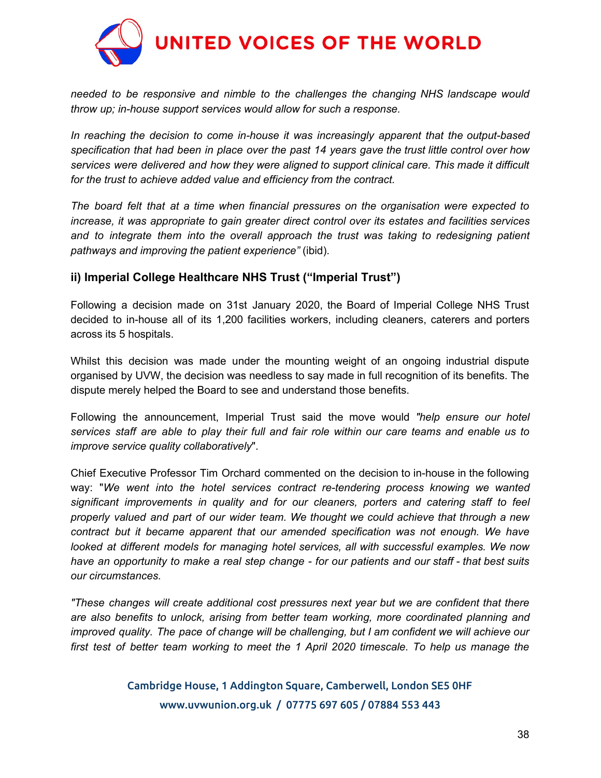

*needed to be responsive and nimble to the challenges the changing NHS landscape would throw up; in-house support services would allow for such a response.*

*In reaching the decision to come in-house it was increasingly apparent that the output-based specification that had been in place over the past 14 years gave the trust little control over how services were delivered and how they were aligned to support clinical care. This made it difficult for the trust to achieve added value and efficiency from the contract.*

*The board felt that at a time when financial pressures on the organisation were expected to increase, it was appropriate to gain greater direct control over its estates and facilities services and to integrate them into the overall approach the trust was taking to redesigning patient pathways and improving the patient experience"* (ibid).

## **ii) Imperial College Healthcare NHS Trust ("Imperial Trust")**

Following a decision made on 31st January 2020, the Board of Imperial College NHS Trust decided to in-house all of its 1,200 facilities workers, including cleaners, caterers and porters across its 5 hospitals.

Whilst this decision was made under the mounting weight of an ongoing industrial dispute organised by UVW, the decision was needless to say made in full recognition of its benefits. The dispute merely helped the Board to see and understand those benefits.

Following the announcement, Imperial Trust said the move would *"help ensure our hotel* services staff are able to play their full and fair role within our care teams and enable us to *improve service quality collaboratively*".

Chief Executive Professor Tim Orchard commented on the decision to in-house in the following way: "*We went into the hotel services contract re-tendering process knowing we wanted significant improvements in quality and for our cleaners, porters and catering staff to feel properly valued and part of our wider team. We thought we could achieve that through a new contract but it became apparent that our amended specification was not enough. We have looked at different models for managing hotel services, all with successful examples. We now* have an opportunity to make a real step change - for our patients and our staff - that best suits *our circumstances.*

*"These changes will create additional cost pressures next year but we are confident that there are also benefits to unlock, arising from better team working, more coordinated planning and improved quality. The pace of change will be challenging, but I am confident we will achieve our first test of better team working to meet the 1 April 2020 timescale. To help us manage the*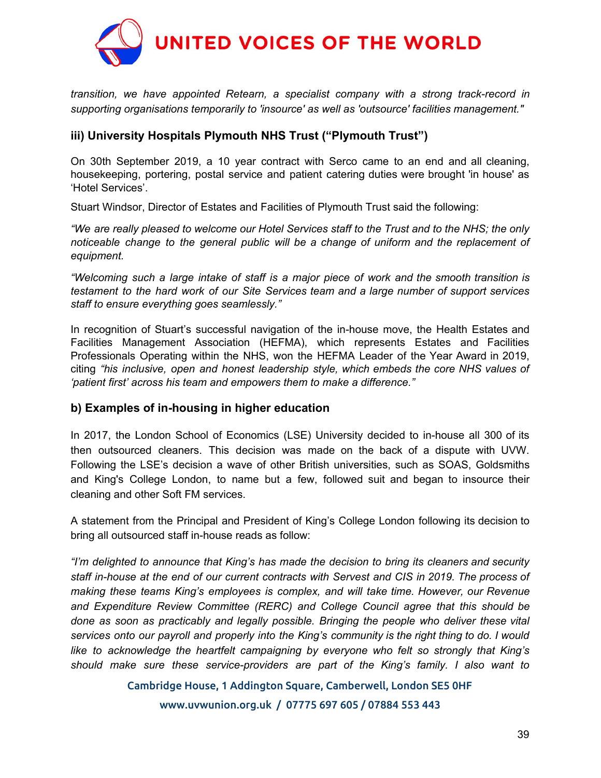

*transition, we have appointed Retearn, a specialist company with a strong track-record in supporting organisations temporarily to 'insource' as well as 'outsource' facilities management."*

## **iii) University Hospitals Plymouth NHS Trust ("Plymouth Trust")**

On 30th September 2019, a 10 year contract with Serco came to an end and all cleaning, housekeeping, portering, postal service and patient catering duties were brought 'in house' as 'Hotel Services'.

Stuart Windsor, Director of Estates and Facilities of Plymouth Trust said the following:

"We are really pleased to welcome our Hotel Services staff to the Trust and to the NHS; the only *noticeable change to the general public will be a change of uniform and the replacement of equipment.*

*"Welcoming such a large intake of staff is a major piece of work and the smooth transition is testament to the hard work of our Site Services team and a large number of support services staff to ensure everything goes seamlessly."*

In recognition of Stuart's successful navigation of the in-house move, the Health Estates and Facilities Management Association (HEFMA), which represents Estates and Facilities Professionals Operating within the NHS, won the HEFMA Leader of the Year Award in 2019, citing *"his inclusive, open and honest leadership style, which embeds the core NHS values of 'patient first' across his team and empowers them to make a difference."*

## **b) Examples of in-housing in higher education**

In 2017, the London School of Economics (LSE) University decided to in-house all 300 of its then outsourced cleaners. This decision was made on the back of a dispute with UVW. Following the LSE's decision a wave of other British universities, such as SOAS, Goldsmiths and King's College London, to name but a few, followed suit and began to insource their cleaning and other Soft FM services.

A statement from the Principal and President of King's College London following its decision to bring all outsourced staff in-house reads as follow:

*"I'm delighted to announce that King's has made the decision to bring its cleaners and security staff in-house at the end of our current contracts with Servest and CIS in 2019. The process of making these teams King's employees is complex, and will take time. However, our Revenue and Expenditure Review Committee (RERC) and College Council agree that this should be done as soon as practicably and legally possible. Bringing the people who deliver these vital services onto our payroll and properly into the King's community is the right thing to do. I would like to acknowledge the heartfelt campaigning by everyone who felt so strongly that King's should make sure these service-providers are part of the King's family. I also want to*

Cambridge House, 1 Addington Square, Camberwell, London SE5 0HF

www.uvwunion.org.uk / 07775 697 605 / 07884 553 443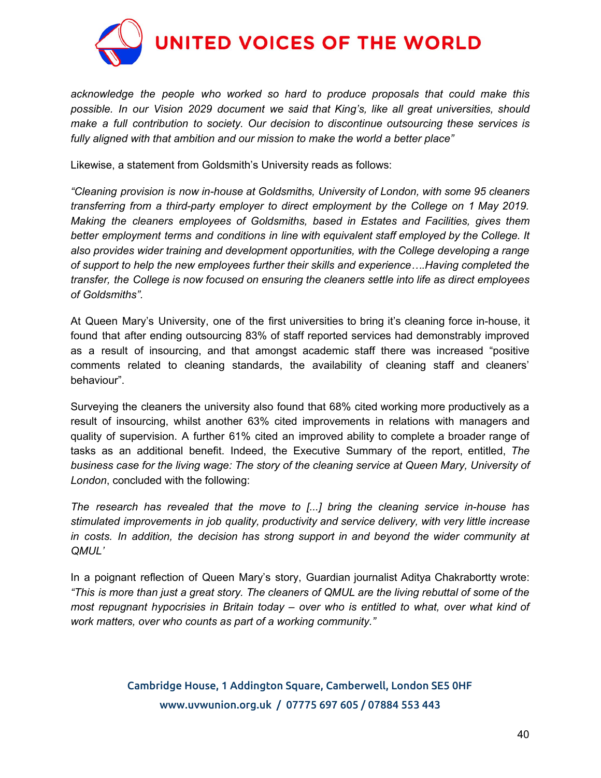

*acknowledge the people who worked so hard to produce proposals that could make this possible. In our Vision 2029 document we said that King's, like all great universities, should make a full contribution to society. Our decision to discontinue outsourcing these services is fully aligned with that ambition and our mission to make the world a better place"*

Likewise, a statement from Goldsmith's University reads as follows:

*"Cleaning provision is now in-house at Goldsmiths, University of London, with some 95 cleaners transferring from a third-party employer to direct employment by the College on 1 May 2019. Making the cleaners employees of Goldsmiths, based in Estates and Facilities, gives them better employment terms and conditions in line with equivalent staff employed by the College. It also provides wider training and development opportunities, with the College developing a range of support to help the new employees further their skills and experience….Having completed the transfer, the College is now focused on ensuring the cleaners settle into life as direct employees of Goldsmiths".*

At Queen Mary's University, one of the first universities to bring it's cleaning force in-house, it found that after ending outsourcing 83% of staff reported services had demonstrably improved as a result of insourcing, and that amongst academic staff there was increased "positive comments related to cleaning standards, the availability of cleaning staff and cleaners' behaviour".

Surveying the cleaners the university also found that 68% cited working more productively as a result of insourcing, whilst another 63% cited improvements in relations with managers and quality of supervision. A further 61% cited an improved ability to complete a broader range of tasks as an additional benefit. Indeed, the Executive Summary of the report, entitled, *The business case for the living wage: The story of the cleaning service at Queen Mary, University of London*, concluded with the following:

*The research has revealed that the move to [...] bring the cleaning service in-house has stimulated improvements in job quality, productivity and service delivery, with very little increase in costs. In addition, the decision has strong support in and beyond the wider community at QMUL'*

In a poignant reflection of Queen Mary's story, Guardian journalist Aditya Chakrabortty wrote: "This is more than just a great story. The cleaners of QMUL are the living rebuttal of some of the *most repugnant hypocrisies in Britain today – over who is entitled to what, over what kind of work matters, over who counts as part of a working community."*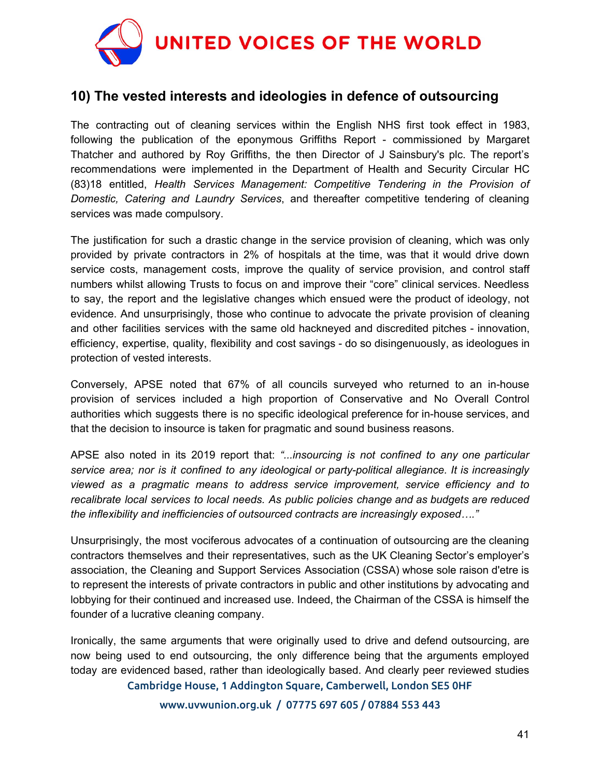

# **10) The vested interests and ideologies in defence of outsourcing**

The contracting out of cleaning services within the English NHS first took effect in 1983, following the publication of the eponymous Griffiths Report - commissioned by Margaret Thatcher and authored by Roy Griffiths, the then Director of J Sainsbury's plc. The report's recommendations were implemented in the Department of Health and Security Circular HC (83)18 entitled, *Health Services Management: Competitive Tendering in the Provision of Domestic, Catering and Laundry Services*, and thereafter competitive tendering of cleaning services was made compulsory.

The justification for such a drastic change in the service provision of cleaning, which was only provided by private contractors in 2% of hospitals at the time, was that it would drive down service costs, management costs, improve the quality of service provision, and control staff numbers whilst allowing Trusts to focus on and improve their "core" clinical services. Needless to say, the report and the legislative changes which ensued were the product of ideology, not evidence. And unsurprisingly, those who continue to advocate the private provision of cleaning and other facilities services with the same old hackneyed and discredited pitches - innovation, efficiency, expertise, quality, flexibility and cost savings - do so disingenuously, as ideologues in protection of vested interests.

Conversely, APSE noted that 67% of all councils surveyed who returned to an in-house provision of services included a high proportion of Conservative and No Overall Control authorities which suggests there is no specific ideological preference for in-house services, and that the decision to insource is taken for pragmatic and sound business reasons.

APSE also noted in its 2019 report that: *"...insourcing is not confined to any one particular service area; nor is it confined to any ideological or party-political allegiance. It is increasingly viewed as a pragmatic means to address service improvement, service efficiency and to recalibrate local services to local needs. As public policies change and as budgets are reduced the inflexibility and inefficiencies of outsourced contracts are increasingly exposed…."*

Unsurprisingly, the most vociferous advocates of a continuation of outsourcing are the cleaning contractors themselves and their representatives, such as the UK Cleaning Sector's employer's association, the Cleaning and Support Services Association (CSSA) whose sole raison d'etre is to represent the interests of private contractors in public and other institutions by advocating and lobbying for their continued and increased use. Indeed, the Chairman of the CSSA is himself the founder of a lucrative cleaning company.

Ironically, the same arguments that were originally used to drive and defend outsourcing, are now being used to end outsourcing, the only difference being that the arguments employed today are evidenced based, rather than ideologically based. And clearly peer reviewed studies Cambridge House, 1 Addington Square, Camberwell, London SE5 0HF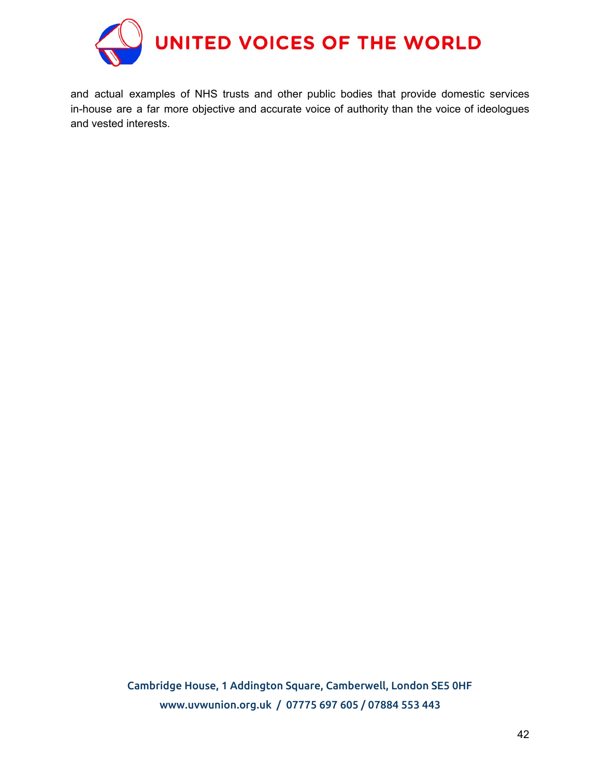

and actual examples of NHS trusts and other public bodies that provide domestic services in-house are a far more objective and accurate voice of authority than the voice of ideologues and vested interests.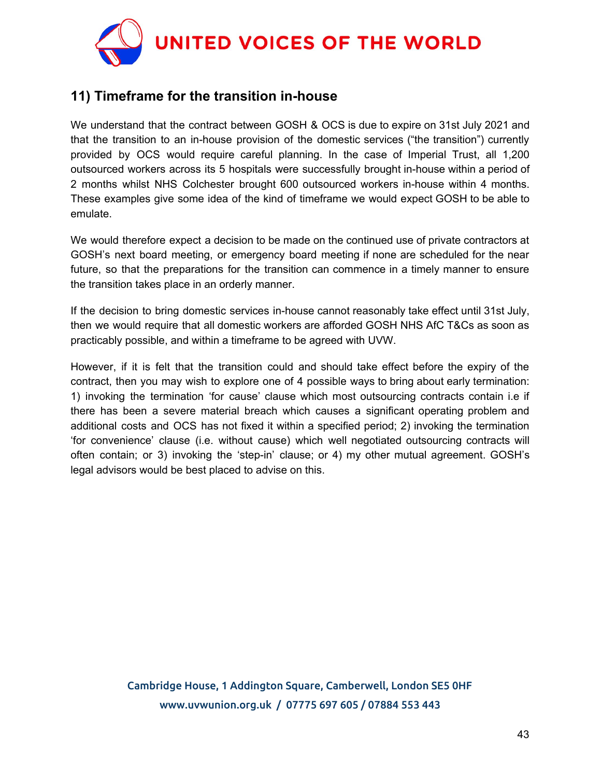

# **11) Timeframe for the transition in-house**

We understand that the contract between GOSH & OCS is due to expire on 31st July 2021 and that the transition to an in-house provision of the domestic services ("the transition") currently provided by OCS would require careful planning. In the case of Imperial Trust, all 1,200 outsourced workers across its 5 hospitals were successfully brought in-house within a period of 2 months whilst NHS Colchester brought 600 outsourced workers in-house within 4 months. These examples give some idea of the kind of timeframe we would expect GOSH to be able to emulate.

We would therefore expect a decision to be made on the continued use of private contractors at GOSH's next board meeting, or emergency board meeting if none are scheduled for the near future, so that the preparations for the transition can commence in a timely manner to ensure the transition takes place in an orderly manner.

If the decision to bring domestic services in-house cannot reasonably take effect until 31st July, then we would require that all domestic workers are afforded GOSH NHS AfC T&Cs as soon as practicably possible, and within a timeframe to be agreed with UVW.

However, if it is felt that the transition could and should take effect before the expiry of the contract, then you may wish to explore one of 4 possible ways to bring about early termination: 1) invoking the termination 'for cause' clause which most outsourcing contracts contain i.e if there has been a severe material breach which causes a significant operating problem and additional costs and OCS has not fixed it within a specified period; 2) invoking the termination 'for convenience' clause (i.e. without cause) which well negotiated outsourcing contracts will often contain; or 3) invoking the 'step-in' clause; or 4) my other mutual agreement. GOSH's legal advisors would be best placed to advise on this.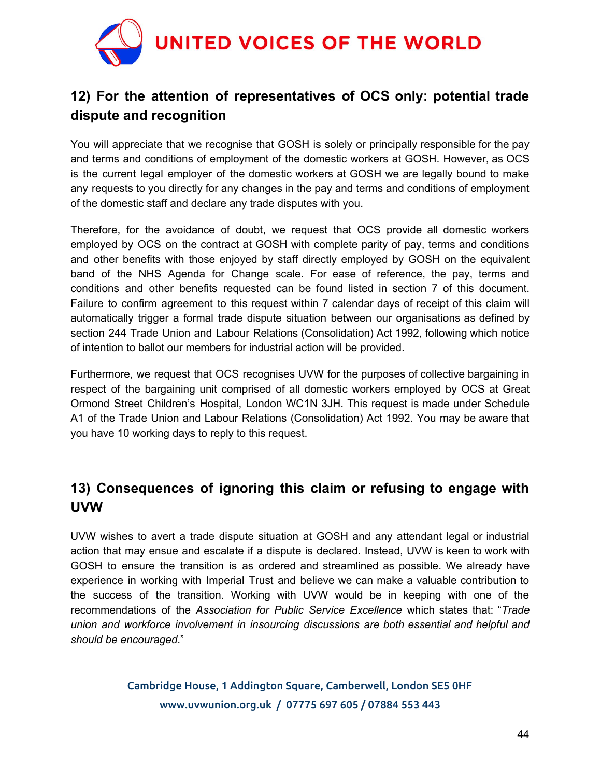

# **12) For the attention of representatives of OCS only: potential trade dispute and recognition**

You will appreciate that we recognise that GOSH is solely or principally responsible for the pay and terms and conditions of employment of the domestic workers at GOSH. However, as OCS is the current legal employer of the domestic workers at GOSH we are legally bound to make any requests to you directly for any changes in the pay and terms and conditions of employment of the domestic staff and declare any trade disputes with you.

Therefore, for the avoidance of doubt, we request that OCS provide all domestic workers employed by OCS on the contract at GOSH with complete parity of pay, terms and conditions and other benefits with those enjoyed by staff directly employed by GOSH on the equivalent band of the NHS Agenda for Change scale. For ease of reference, the pay, terms and conditions and other benefits requested can be found listed in section 7 of this document. Failure to confirm agreement to this request within 7 calendar days of receipt of this claim will automatically trigger a formal trade dispute situation between our organisations as defined by section 244 Trade Union and Labour Relations (Consolidation) Act 1992, following which notice of intention to ballot our members for industrial action will be provided.

Furthermore, we request that OCS recognises UVW for the purposes of collective bargaining in respect of the bargaining unit comprised of all domestic workers employed by OCS at Great Ormond Street Children's Hospital, London WC1N 3JH. This request is made under Schedule A1 of the Trade Union and Labour Relations (Consolidation) Act 1992. You may be aware that you have 10 working days to reply to this request.

# **13) Consequences of ignoring this claim or refusing to engage with UVW**

UVW wishes to avert a trade dispute situation at GOSH and any attendant legal or industrial action that may ensue and escalate if a dispute is declared. Instead, UVW is keen to work with GOSH to ensure the transition is as ordered and streamlined as possible. We already have experience in working with Imperial Trust and believe we can make a valuable contribution to the success of the transition. Working with UVW would be in keeping with one of the recommendations of the *Association for Public Service Excellence* which states that: "*Trade union and workforce involvement in insourcing discussions are both essential and helpful and should be encouraged*."